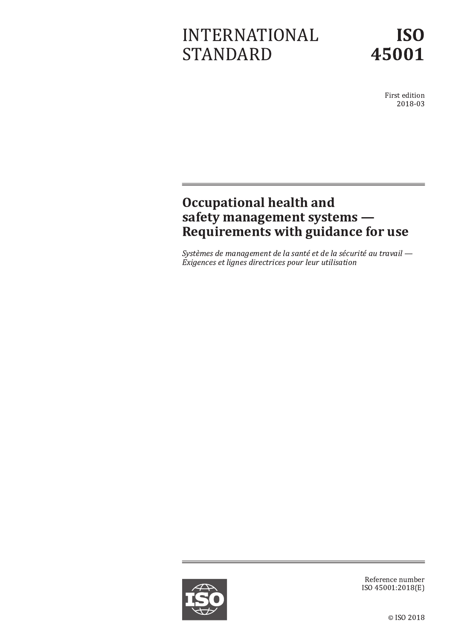# INTERNATIONAL STANDARD

First edition 2 018 -03

# Occupational health and safety management systems — Requirements with guidance for use

Systèmes de management de la santé et de la sécurité au travail — Exigences et lignes directrices pour leur utilisation



Reference number ISO 45001:2018(E)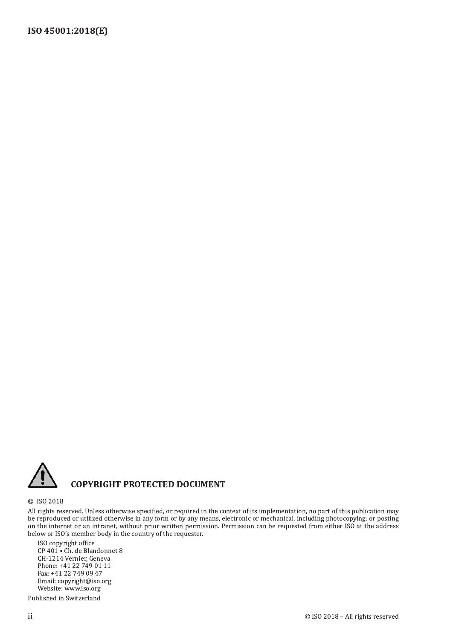

# COPYRIGHT PROTECTED DOCUMENT

## © ISO 2018

All rights reserved. Unless otherwise specified, or required in the context of its implementation, no part of this publication may be reproduced or utilize in any form or believe in any form or any form or means , including photocopying, or posting, or posting photocopying, or posting photocopying, or posting, or posting photocopying, or posting, or p on the internet or an intranct, without prior written permission can be requested from e ither ISO at the addr below or ISO's member body in the country of the requester.

ISO copyright office CH -1 2 14 Vernier, Geneva Phone: +41 22 749 01 11 Fax: +41 22 749 09 47 Email: copyright@iso.org Website: www.iso.org

Published in Switzerland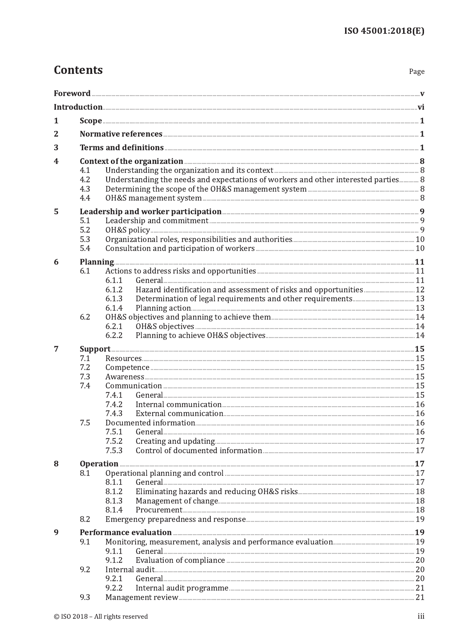# **Contents**

Page

| $\textbf{For} \textbf{word} \textit{} \textit{} \textit{} \textit{} \textit{} \textit{} \textit{} \textit{} \textit{} \textit{} \textit{} \textit{} \textit{} \textit{} \textit{} \textit{} \textit{} \textit{} \textit{} \textit{} \textit{} \textit{} \textit{} \textit{} \textit{} \textit{} \textit{} \textit{} \textit{} \textit{} \textit{} \textit{} \textit{} \textit{} \textit{$ |                          |                                                                                                                                                                                                                                                 |  |  |  |  |
|-------------------------------------------------------------------------------------------------------------------------------------------------------------------------------------------------------------------------------------------------------------------------------------------------------------------------------------------------------------------------------------------|--------------------------|-------------------------------------------------------------------------------------------------------------------------------------------------------------------------------------------------------------------------------------------------|--|--|--|--|
|                                                                                                                                                                                                                                                                                                                                                                                           |                          |                                                                                                                                                                                                                                                 |  |  |  |  |
| 1                                                                                                                                                                                                                                                                                                                                                                                         |                          |                                                                                                                                                                                                                                                 |  |  |  |  |
| 2                                                                                                                                                                                                                                                                                                                                                                                         |                          |                                                                                                                                                                                                                                                 |  |  |  |  |
| 3                                                                                                                                                                                                                                                                                                                                                                                         |                          |                                                                                                                                                                                                                                                 |  |  |  |  |
| 4                                                                                                                                                                                                                                                                                                                                                                                         | 4.1<br>4.2<br>4.3<br>4.4 | Context of the organization <b>Election</b> 28<br>Understanding the needs and expectations of workers and other interested parties 8                                                                                                            |  |  |  |  |
| 5                                                                                                                                                                                                                                                                                                                                                                                         | 5.1<br>5.2<br>5.3<br>5.4 |                                                                                                                                                                                                                                                 |  |  |  |  |
| 6                                                                                                                                                                                                                                                                                                                                                                                         | 6.1<br>6.2               | 6.1.1<br>6.1.2<br>6.1.3<br>6.1.4<br>6.2.1<br>6.2.2                                                                                                                                                                                              |  |  |  |  |
| 7                                                                                                                                                                                                                                                                                                                                                                                         | 7.1                      |                                                                                                                                                                                                                                                 |  |  |  |  |
|                                                                                                                                                                                                                                                                                                                                                                                           | 7.2<br>7.3<br>7.4        | 7.4.1<br>7.4.2<br>7.4.3                                                                                                                                                                                                                         |  |  |  |  |
|                                                                                                                                                                                                                                                                                                                                                                                           | 7.5                      | $7.5.1$ General 2000 Contraction communication continuum continuum continuum continuum continuum continuum continuum continuum continuum continuum continuum continuum continuum continuum continuum continuum continuum cont<br>7.5.2<br>7.5.3 |  |  |  |  |
| 8                                                                                                                                                                                                                                                                                                                                                                                         | 8.1                      | 8.1.1<br>8.1.2<br>8.1.3<br>8.1.4                                                                                                                                                                                                                |  |  |  |  |
|                                                                                                                                                                                                                                                                                                                                                                                           | 8.2                      |                                                                                                                                                                                                                                                 |  |  |  |  |
| 9                                                                                                                                                                                                                                                                                                                                                                                         | 9.1                      | 9.1.1<br>9.1.2                                                                                                                                                                                                                                  |  |  |  |  |
|                                                                                                                                                                                                                                                                                                                                                                                           | 9.2                      | 9.2.1<br>9.2.2                                                                                                                                                                                                                                  |  |  |  |  |
|                                                                                                                                                                                                                                                                                                                                                                                           | 9.3                      |                                                                                                                                                                                                                                                 |  |  |  |  |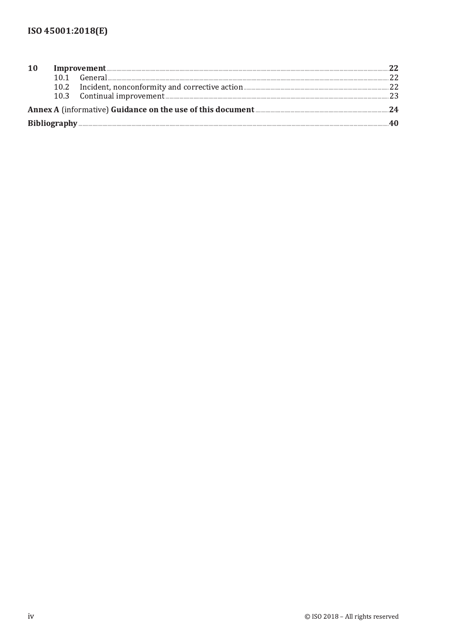# ISO 45001:2018(E)

| <b>10</b>                                                                                                              |     |         |  |  |
|------------------------------------------------------------------------------------------------------------------------|-----|---------|--|--|
|                                                                                                                        | 101 | General |  |  |
|                                                                                                                        |     |         |  |  |
|                                                                                                                        |     |         |  |  |
| Annex A (informative) Guidance on the use of this document <b>manufacture</b> in the setting of the setting of the set |     |         |  |  |
|                                                                                                                        |     |         |  |  |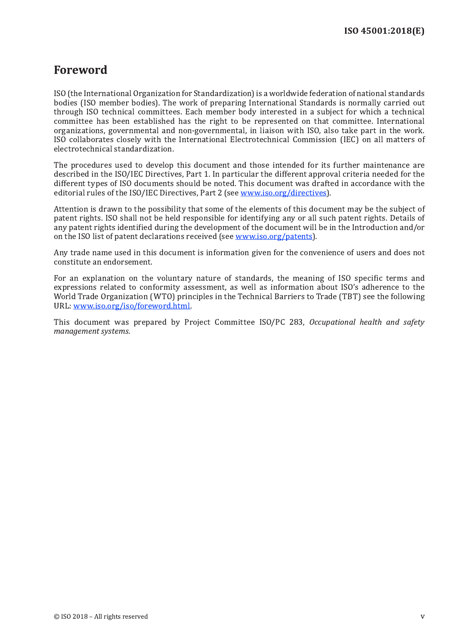## **Foreword**  $-$

ISO (the International Organization for Standardization) is a worldwide federation of national standards bodies (ISO member bodies). The work of preparing International Standards is normally carried out through ISO technical committees. Each member body interested in a subject for which a technical committee has been established has the right to be represented on that committee. International organizations, governmental and non-governmental, in liaison with ISO, also take part in the work. ISO collaborates closely with the International Electrotechnical Commission (IEC) on all matters of electrotechnical standardization.

The procedures used to develop this document and those intended for its further maintenance are described in the ISO/IEC Directives, Part 1. In particular the different approval criteria needed for the different types of ISO documents should be noted. This document was drafted in accordance with the editorial rules of the ISO/IEC Directives, Part 2 (see www.iso.org/directives).

Attention is drawn to the possibility that some of the elements of this document may be the subject of patent rights. ISO shall not be held responsible for identifying any or all such patent rights. Details of any patent rights identified during the development of the document will be in the Introduction and/or on the ISO list of patent declarations received (see www.iso.org/patents).

Any trade name used in this document is information given for the convenience of users and does not constitute an endorsement.

For an explanation on the voluntary nature of standards, the meaning of ISO specific terms and expressions related to conformity assessment, as well as information about ISO's adherence to the World Trade Organization (WTO) principles in the Technical Barriers to Trade (TBT) see the following URL: www.iso.org/iso/foreword.html.

This document was prepared by Project Committee ISO/PC 283, Occupational health and safety management systems.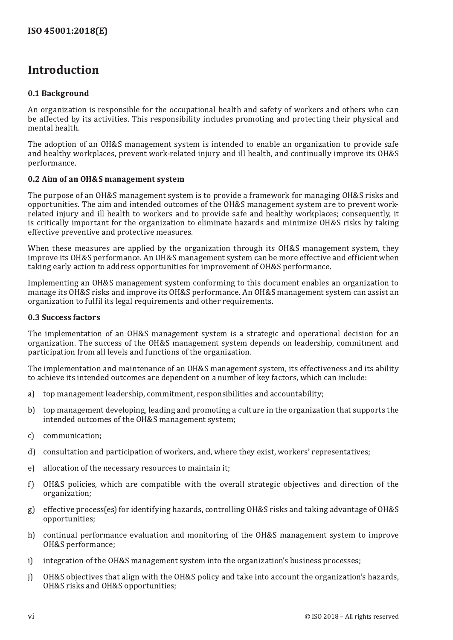# <span id="page-5-0"></span>Introduction

## 0.1 Background

An organization is responsible for the occupational health and safety of workers and others who can be affected by its activities. This responsibility includes promoting and protecting their physical and mental health.

The adoption of an OH&S management system is intended to enable an organization to provide safe and healthy workplaces, prevent work-related injury and ill health, and continually improve its OH&S performance .

## 0 .2 Aim of an OH&S management system

The purpose of an OH&S management system is to provide a framework for managing OH&S risks and opportunities. The aim and intended outcomes of the OH&S management system are to prevent workrelated injury and ill health to workers and to provide safe and healthy workplaces; consequently, it is critically important for the organization to eliminate hazards and minimize OH&S risks by taking effective preventive and protective measures.

When these measures are applied by the organization through its OH&S management system, they improve its OH&S performance. An OH&S management system can be more effective and efficient when taking early action to address opportunities for improvement of OH&S performance.

Implementing an OH&S management system conforming to this document enables an organization to manage its OH&S risks and improve its OH&S performance. An OH&S management system can assist an organization to fulfil its legal requirements and other requirements.

## 0.3 Success factors

The implementation of an OH&S management system is a strategic and operational decision for an organization. The success of the OH&S management system depends on leadership, commitment and participation from all levels and functions of the organization.

The implementation and maintenance of an OH&S management system, its effectiveness and its ability to achieve its intended outcomes are dependent on a number of key factors, which can include:

- a) top management leadership, commitment, responsibilities and accountability;
- b) top management developing, leading and promoting a culture in the organization that supports the intended outcomes of the OH&S management system;
- c) communication;
- d) consultation and participation of workers, and, where they exist, workers' representatives;
- e) allocation of the necessary resources to maintain it;
- f) OH&S policies, which are compatible with the overall strategic objectives and direction of the organization;
- g) effective process(es) for identifying hazards, controlling OH&S risks and taking advantage of OH&S opportunities:
- continual performance evaluation and monitoring of the OH&S management system to improve  $h$ OH&S performance;
- integration of the OH&S management system into the organization's business processes; <sup>i</sup>
- j) OH&S objectives that align with the OH&S policy and take into account the organization's hazards, OH&S risks and OH&S opportunities;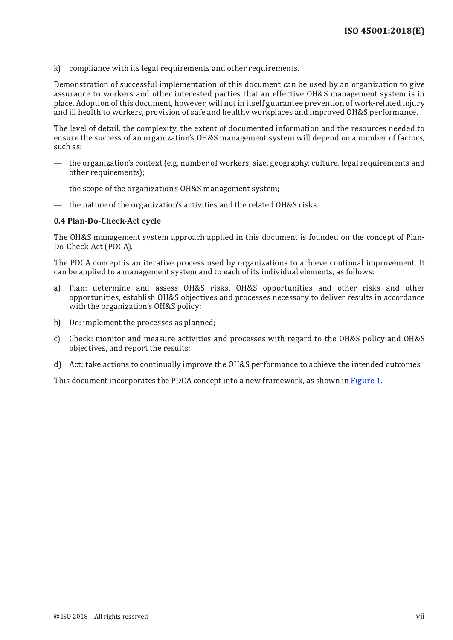$k$ ) compliance with its legal requirements and other requirements.

Demonstration of successful implementation of this document can be used by an organization to give assurance to workers and other interested parties that an effective OH&S management system is in place. Adoption of this document, however, will not in itself guarantee prevention of work-related injury and ill health to workers, provision of safe and healthy workplaces and improved OH&S performance.

The level of detail, the complexity, the extent of documented information and the resources needed to ensure the success of an organization's OH&S management system will depend on a number of factors, such as: such as :

- the organization's context (e.g. number of workers, size, geography, culture, legal requirements and other requirements);
- $-$  the scope of the organization's OH&S management system;
- $-$  the nature of the organization's activities and the related OH&S risks.

## 0 .4 Plan-Do -Check-Act cycle

The OH&S management system approach applied in this document is founded on the concept of Plan-Do-Check-Act (PDCA).

The PDCA concept is an iterative process used by organizations to achieve continual improvement. It can be applied to a management system and to each of its individual elements, as follows:

- a) Plan: determine and assess OH&S risks, OH&S opportunities and other risks and other opportunities, establish OH&S objectives and processes necessary to deliver results in accordance with the organization's OH&S policy;
- b) Do: implement the processes as planned;
- c) Check: monitor and measure activities and processes with regard to the OH&S policy and OH&S objectives, and report the results;
- d) Act: take actions to continually improve the OH&S performance to achieve the intended outcomes.

This document incorporates the PDCA concept into a new framework, as shown in Figure 1.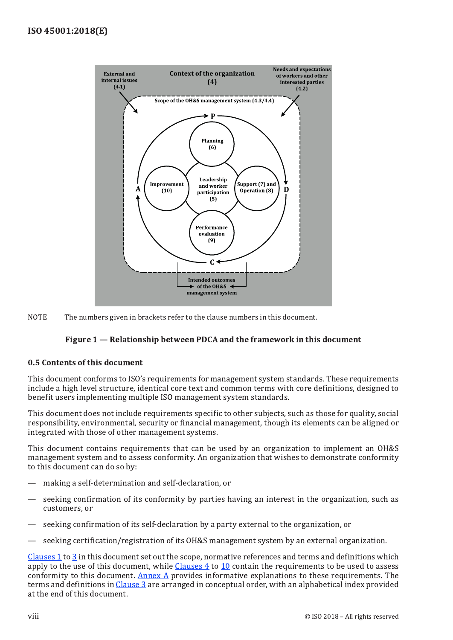

NOTE The numbers given in brackets refer to the clause numbers in this document.

## Figure 1 — Relationship between PDCA and the framework in this document

## 0 .5 Contents of this document

This document conforms to ISO's requirements for management system standards. These requirements include a high level structure, identical core text and common terms with core definitions, designed to benefit users implementing multiple ISO management system standards.

This document does not include requirements specific to other subjects, such as those for quality, social responsibility, environmental, security or financial management, though its elements can be aligned or integrated with those of other management systems.

This document contains requirements that can be used by an organization to implement an OH&S management system and to assess conformity. An organization that wishes to demonstrate conformity to this document can do so by:

- making a self-determination and self-declaration, or
- seeking confirmation of its conformity by parties having an interest in the organization, such as customers, or
- seeking confirmation of its self-declaration by a party external to the organization, or
- seeking certification/registration of its OH&S management system by an external organization.

C lauses 1 to [3](#page-10-0) in this document set out the scope, normative references and terms and definitions which apply to the use of this document, while  $Clauses 4$  to  $10$  contain the requirements to be used to assess conformityto this document. [Annex A](#page-33-0) provides informative explanations to these requirements. The terms and definitions in Clause 3 are arranged in conceptual order, with an alphabetical index provided at the end of this document.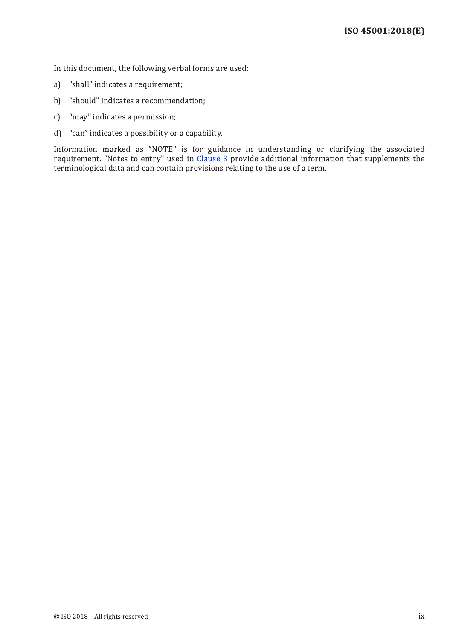In this document, the following verbal forms are used:

- a) "shall" indicates a requirement;
- b) "should" indicates a recommendation;
- $c)$  "may" indicates a permission;
- d) "can" indicates a possibility or a capability.

Information marked as "NOTE " is for gu idance in unders tand ing or clar ifying the assoc iated requ irement . "Notes to entry" used in C lause 3 provide add itiona l information that supp lements the terminological data and can contain provisions relating to the use of a term.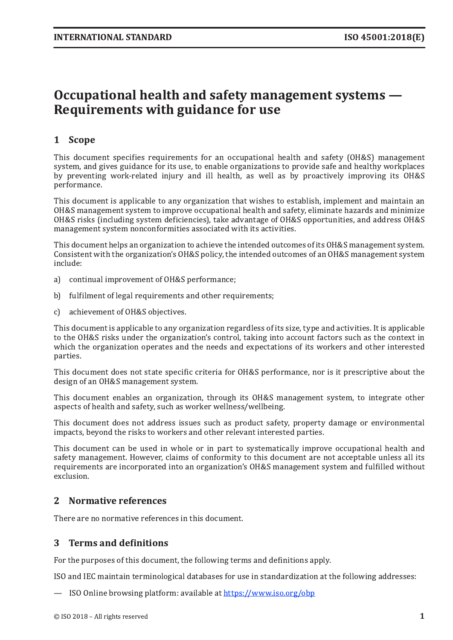# <span id="page-10-0"></span>Occupational health and safety management systems – **Requirements with guidance for use**

## **Scope**  $\mathbf{1}$

This document specifies requirements for an occupational health and safety (OH&S) management system, and gives guidance for its use, to enable organizations to provide safe and healthy workplaces by preventing work-related injury and ill health, as well as by proactively improving its OH&S performance.

This document is applicable to any organization that wishes to establish, implement and maintain an OH&S management system to improve occupational health and safety, eliminate hazards and minimize OH&S risks (including system deficiencies), take advantage of OH&S opportunities, and address OH&S management system nonconformities associated with its activities.

This document helps an organization to achieve the intended outcomes of its OH&S management system. Consistent with the organization's OH&S policy, the intended outcomes of an OH&S management system include:

- continual improvement of OH&S performance; a)
- b fulfilment of legal requirements and other requirements;
- achievement of OH&S objectives.  $\mathcal{C}$

This document is applicable to any organization regardless of its size, type and activities. It is applicable to the OH&S risks under the organization's control, taking into account factors such as the context in which the organization operates and the needs and expectations of its workers and other interested parties.

This document does not state specific criteria for OH&S performance, nor is it prescriptive about the design of an OH&S management system.

This document enables an organization, through its OH&S management system, to integrate other aspects of health and safety, such as worker wellness/wellbeing.

This document does not address issues such as product safety, property damage or environmental impacts, beyond the risks to workers and other relevant interested parties.

This document can be used in whole or in part to systematically improve occupational health and safety management. However, claims of conformity to this document are not acceptable unless all its requirements are incorporated into an organization's OH&S management system and fulfilled without exclusion.

## **Normative references**  $\mathbf{2}$

There are no normative references in this document.

## **Terms and definitions** 3

For the purposes of this document, the following terms and definitions apply.

ISO and IEC maintain terminological databases for use in standardization at the following addresses:

— ISO Online browsing platform: available at https://www.iso.org/obp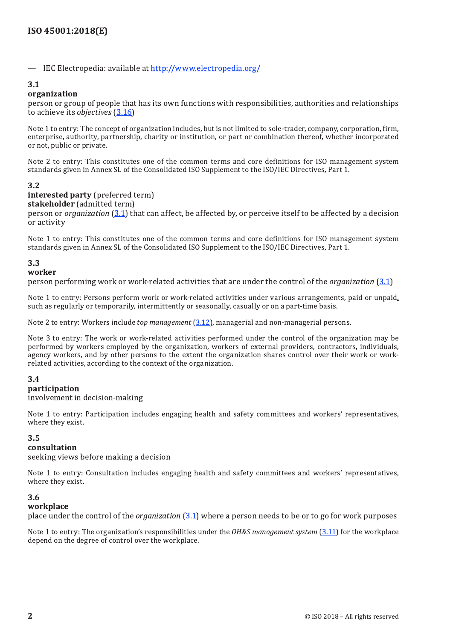<span id="page-11-0"></span>IEC Electropedia: available at http://www.electropedia.org/

## 3 .1

## organization

person or group of people that has its own functions with responsibilities, authorities and relationships to achieve its *objectives* (3.16)

Note 1 to entry: The concept of organization includes, but is not limited to sole-trader, company, corporation, firm, enterprise, authority, partnership, charity or institution, or part or combination thereof, whether incorporated or not, public or private.

Note 2 to entry: This constitutes one of the common terms and core definitions for ISO management system standards given in Annex SL of the Consolidated ISO Supplement to the ISO/IEC Directives, Part 1.

## $3.2$ 3 .2

## interested party (preferred term)

## stakeholder (admitted term)

person or *organization*  $(3.1)$  that can affect, be affected by, or perceive itself to be affected by a decision or activity

Note 1 to entry: This constitutes one of the common terms and core definitions for ISO management system standards given in Annex SL of the Consolidated ISO Supplement to the ISO/IEC Directives, Part 1.

## 3.3  $-$

## worker

person performing work or work-related activities that are under the control of the *organization*  $(3.1)$ 

Note 1 to entry: Persons perform work or work-related activities under various arrangements, paid or unpaid, such as regularly or temporarily, intermittently or seasonally, casually or on a part-time basis.

Note 2 to entry: Workers include top management  $(3.12)$ , managerial and non-managerial persons.

Note 3 to entry: The work or work-related activities performed under the control of the organization may be performed by workers employed by the organization, workers of external providers, contractors, individuals, agency workers, and by other persons to the extent the organization shares control over their work or workrelated activities, according to the context of the organization.

## 3 .4

## participation

involvement in decision-making

Note 1 to entry: Participation includes engaging health and safety committees and workers' representatives, where they exist.

### $3.5$  $-1$

## consultation

seeking views before making a decision

Note 1 to entry: Consultation includes engaging health and safety committees and workers' representatives, where they exist.

## 3 .6

## workplace

place under the control of the *organization*  $(3.1)$  where a person needs to be or to go for work purposes

Note 1 to entry: The organization's responsibilities under the  $OH&S$  management system  $(3.11)$  for the workplace depend on the degree of control over the workplace.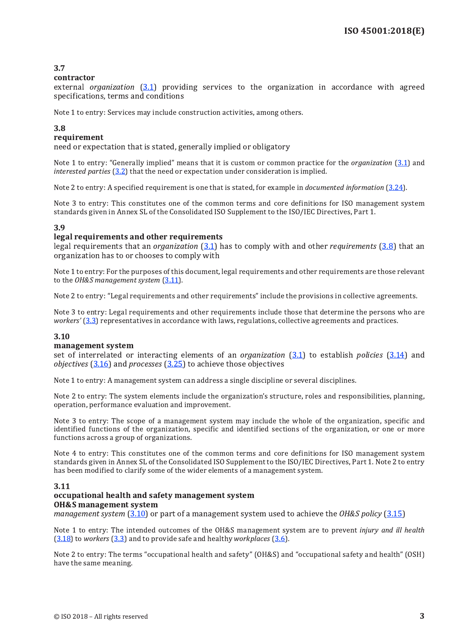## <span id="page-12-0"></span>3.7

## contractor

external *organization*  $(3.1)$  providing services to the organization in accordance with agreed specifications, terms and conditions

Note 1 to entry: Services may include construction activities, among others.

## 3.8

## requirement

need or expectation that is stated, generally implied or obligatory

Note 1 to entry: "Generally implied" means that it is custom or common practice for the *organization*  $(3.1)$  and interested parties  $(3.2)$  that the need or expectation under consideration is implied.

Note 2 to entry: A specified requirement is one that is stated, for example in *documented information* (3.24).

Note 3 to entry: This constitutes one of the common terms and core definitions for ISO management system standards given in Annex SL of the Consolidated ISO Supplement to the ISO/IEC Directives, Part 1.

## 3.9

## legal requirements and other requirements

legal requirements that an *organization*  $(3.1)$  has to comply with and other *requirements*  $(3.8)$  that an organization has to or chooses to comply with

Note 1 to entry: For the purposes of this document, legal requirements and other requirements are those relevant to the OH&S management system (3.11).

Note 2 to entry: "Legal requirements and other requirements" include the provisions in collective agreements.

Note 3 to entry: Legal requirements and other requirements include those that determine the persons who are *workers'*  $(3.3)$  representatives in accordance with laws, regulations, collective agreements and practices.

## 3.10

## management system

set of interrelated or interacting elements of an *organization*  $(3.1)$  to establish *policies*  $(3.14)$  and *objectives*  $(3.16)$  and *processes*  $(3.25)$  to achieve those objectives

Note 1 to entry: A management system can address a single discipline or several disciplines.

Note 2 to entry: The system elements include the organization's structure, roles and responsibilities, planning, operation, performance evaluation and improvement.

Note 3 to entry: The scope of a management system may include the whole of the organization, specific and identified functions of the organization, specific and identified sections of the organization, or one or more functions across a group of organizations.

Note 4 to entry: This constitutes one of the common terms and core definitions for ISO management system standards given in Annex SL of the Consolidated ISO Supplement to the ISO/IEC Directives, Part 1. Note 2 to entry has been modified to clarify some of the wider elements of a management system.

## 3.11

# occupational health and safety management system

## **OH&S** management system

management system (3.10) or part of a management system used to achieve the OH&S policy (3.15)

Note 1 to entry: The intended outcomes of the OH&S management system are to prevent injury and ill health  $(3.18)$  to workers  $(3.3)$  and to provide safe and healthy workplaces  $(3.6)$ .

Note 2 to entry: The terms "occupational health and safety" (OH&S) and "occupational safety and health" (OSH) have the same meaning.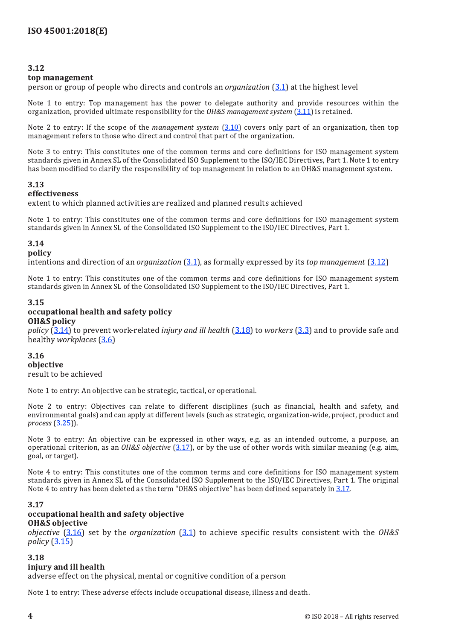## <span id="page-13-0"></span>3 .12

## top management

person or group of people who directs and controls an *organization*  $(3.1)$  at the highest level

Note 1 to entry: Top management has the power to delegate authority and provide resources within the organization, provided ultimate responsibility for the  $OH&S$  management system (3.11) is retained.

Note 2 to entry: If the scope of the management system  $(3.10)$  covers only part of an organization, then top management refers to those who direct and control that part of the organization.

Note 3 to entry: This constitutes one of the common terms and core definitions for ISO management system standards given in Annex SL of the Consolidated ISO Supplement to the ISO/IEC Directives, Part 1. Note 1 to entry has been modified to clarify the responsibility of top management in relation to an OH&S management system.

# 3 .13

## effectiveness

extent to which planned activities are realized and planned results achieved

Note 1 to entry: This constitutes one of the common terms and core definitions for ISO management system standards given in Annex SL of the Consolidated ISO Supplement to the ISO/IEC Directives, Part 1.

3.14  $-1$ policy

intentions and direction of an *organization* (3.1), as formally expressed by its *top management* (3.12)

Note 1 to entry: This constitutes one of the common terms and core definitions for ISO management system standards given in Annex SL of the Consolidated ISO Supplement to the ISO/IEC Directives, Part 1.

# 3 .15

# occupational health and safety policy

## OH&S policy

policy  $(3.14)$  to prevent work-related injury and ill health  $(3.18)$  to workers  $(3.3)$  and to provide safe and healthy workplaces  $(3.6)$ 

## 3 .16 obiective

result to be achieved

Note 1 to entry: An objective can be strategic, tactical, or operational.

Note 2 to entry: Objectives can relate to different disciplines (such as financial, health and safety, and environmental goals) and can apply at different levels (such as strategic, organization-wide, project, product and  $process (3.25)$ .

Note 3 to entry: An objective can be expressed in other ways, e.g. as an intended outcome, a purpose, an operational criterion, as an OH&S objective  $(3.17)$ , or by the use of other words with similar meaning (e.g. aim, goal, or target).

Note 4 to entry: This constitutes one of the common terms and core definitions for ISO management system standards given in Annex SL of the Consolidated ISO Supplement to the ISO/IEC Directives, Part 1. The original Note 4 to entry has been deleted as the term "OH&S objective" has been defined separately in 3.17.

## 3 .17

## occupational health and safety objective OH&S objective

*objective*  $(3.16)$  set by the *organization*  $(3.1)$  to achieve specific results consistent with the *OH&S* policy  $(3.15)$ 

## 3 .18

## injury and ill health

adverse effect on the physical, mental or cognitive condition of a person

Note 1 to entry: These adverse effects include occupational disease, illness and death.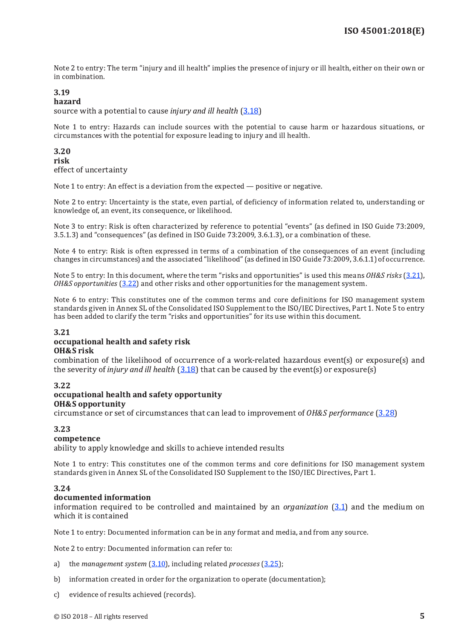<span id="page-14-0"></span>Note 2 to entry: The term "injury and ill health" implies the presence of injury or ill health, either on their own or in combination.

# 3.19 source with a potential to cause injury and ill health  $(3.18)$

Note 1 to entry: Hazards can include sources with the potential to cause harm or hazardous situations, or circumstances with the potential for exposure leading to injury and ill health.

## 3 .20 risk effect of uncertainty

Note 1 to entry: An effect is a deviation from the expected  $-$  positive or negative.

Note 2 to entry: Uncertainty is the state, even partial, of deficiency of information related to, understanding or knowledge of, an event, its consequence, or likelihood.

Note 3 to entry: Risk is often characterized by reference to potential "events" (as defined in ISO Guide 73:2009, 3.5.1.3) and "consequences" (as defined in ISO Guide 73:2009, 3.6.1.3), or a combination of these.

Note 4 to entry: Risk is often expressed in terms of a combination of the consequences of an event (including changes in circumstances) and the associated "likelihood" (as defined in ISO Guide  $73:2009, 3.6.1.1$ ) of occurrence.

Note 5 to entry: In this document, where the term "risks and opportunities" is used this means OH&S risks (3.21),  $OH&S$  opportunities (3.22) and other risks and other opportunities for the management system.

Note 6 to entry: This constitutes one of the common terms and core definitions for ISO management system standards given in Annex SL of the Consolidated ISO Supplement to the ISO/IEC Directives, Part 1. Note 5 to entry has been added to clarify the term "risks and opportunities" for its use within this document.

## 3 .21

## occupational health and safety risk OH&S risk

combination of the likelihood of occurrence of a work-related hazardous event(s) or exposure(s) and the severity of *injury and ill health*  $(3.18)$  that can be caused by the event(s) or exposure(s)

## 3 .22

## occupational health and safety opportunity OH&S opportunity

circums tance or set of circums tances that can lead to improvement of OH&S performance (3.28)

## 3.23

## competence

ability to apply knowledge and skills to achieve intended results

Note 1 to entry: This constitutes one of the common terms and core definitions for ISO management system standards given in Annex SL of the Consolidated ISO Supplement to the ISO/IEC Directives, Part 1.

## 3 .24

#### documented information documented in the second interesting the

information required to be controlled and maintained by an *organization*  $(3.1)$  and the medium on which it is contained

Note 1 to entry: Documented information can be in any format and media, and from any source.

Note 2 to entry: Documented information can refer to :

- a) the management system  $(3.10)$ , including related processes  $(3.25)$ ;
- b) information created in order for the organization to operate (documentation);
- c) evidence of results achieved (records).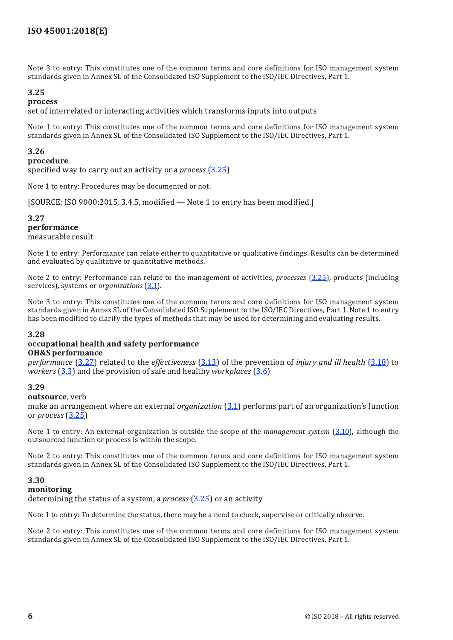<span id="page-15-0"></span>Note 3 to entry: This constitutes one of the common terms and core definitions for ISO management system standards given in Annex SL of the Consolidated ISO Supplement to the ISO/IEC Directives, Part 1.

## 3.25

## process

set of interrelated or interacting activities which transforms inputs into outputs

Note 1 to entry: This constitutes one of the common terms and core definitions for ISO management system standards given in Annex SL of the Consolidated ISO Supplement to the ISO/IEC Directives, Part 1.

## 3 .26

## procedure

specified way to carry out an activity or a *process*  $(3.25)$ 

Note 1 to entry: Procedures may be documented or not.

 $[SOURCE: ISO 9000:2015, 3.4.5, modified - Note 1 to entry has been modified.]$ 

# 3 .27

# performance

## measurable result

Note 1 to entry: Performance can relate either to quantitative or qualitative findings. Results can be determined and evaluated by qualitative or quantitative methods.

Note 2 to entry: Performance can relate to the management of activities, *processes*  $(3.25)$ , products (including services), systems or *organizations*  $(3.1)$ .

Note 3 to entry: This constitutes one of the common terms and core definitions for ISO management system standards given in Annex SL of the Consolidated ISO Supplement to the ISO/IEC Directives, Part 1. Note 1 to entry has been modified to clarify the types of methods that may be used for determining and evaluating results.

#### 3.28 ---

## occupational health and safety performance OH&S performance

performance  $(3.27)$  related to the effectiveness  $(3.13)$  of the prevention of injury and ill health  $(3.18)$  to *workers*  $(3.3)$  and the provision of safe and healthy *workplaces*  $(3.6)$ 

### 3.29 ---

## outsource, verb

make an arrangement where an external *organization*  $(3.1)$  performs part of an organization's function or *process*  $(3.25)$ 

Note 1 to entry: An external organization is outside the scope of the management system  $(3.10)$ , although the outsourced function or process is within the scope.

Note 2 to entry: This constitutes one of the common terms and core definitions for ISO management system standards given in Annex SL of the Consolidated ISO Supplement to the ISO/IEC Directives, Part 1.

## 3 .30

## monitoring

determining the status of a system, a *process*  $(3.25)$  or an activity

Note 1 to entry: To determine the status, there may be a need to check, supervise or critically observe.

Note 2 to entry: This constitutes one of the common terms and core definitions for ISO management system standards given in Annex SL of the Consolidated ISO Supplement to the ISO/IEC Directives, Part 1.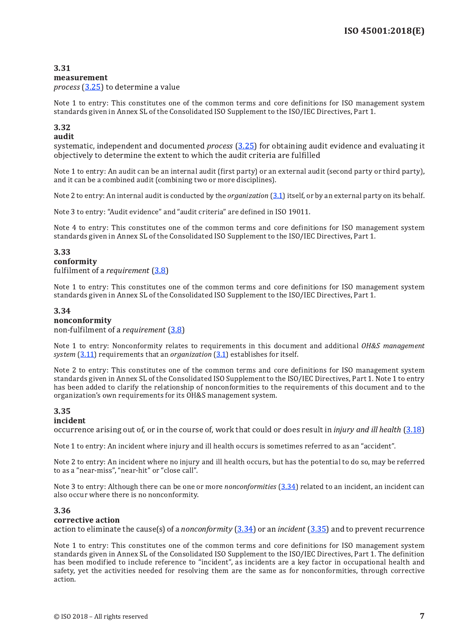## <span id="page-16-0"></span>3.31

## measurement

process  $(3.25)$  to determine a value

Note 1 to entry: This constitutes one of the common terms and core definitions for ISO management system standards given in Annex SL of the Consolidated ISO Supplement to the ISO/IEC Directives, Part 1.

# 3 .32

## audit -------

systematic, independent and documented *process*  $(3.25)$  for obtaining audit evidence and evaluating it objectively to determine the extent to which the audit criteria are fulfilled

Note 1 to entry: An audit can be an internal audit (first party) or an external audit (second party or third party), and it can be a combined audit (combining two or more disciplines).

Note 2 to entry: An internal audit is conducted by the *organization*  $(3.1)$  itself, or by an external party on its behalf.

Note 3 to entry: "Audit evidence" and "audit criteria" are defined in ISO 19011.

Note 4 to entry: This constitutes one of the common terms and core definitions for ISO management system standards given in Annex SL of the Consolidated ISO Supplement to the ISO/IEC Directives, Part 1.

## 3.33 conformity ful filment of a *requirement* (3.8)

Note 1 to entry: This constitutes one of the common terms and core definitions for ISO management system standards given in Annex SL of the Consolidated ISO Supplement to the ISO/IEC Directives, Part 1.

## 3.34 3 .34 nonconformity

non-ful filment of a requirement  $(3.8)$ 

Note 1 to entry: Nonconformity relates to requirements in this document and additional OH&S management system  $(3.11)$  requirements that an *organization*  $(3.1)$  establishes for itself.

Note 2 to entry: This constitutes one of the common terms and core definitions for ISO management system standards given in Annex SL of the Consolidated ISO Supplement to the ISO/IEC Directives, Part 1. Note 1 to entry has been added to clarify the relationship of nonconformities to the requirements of this document and to the organization's own requirements for its OH&S management system.

# 3 .35

## incident incident

occurrence arising out of, or in the course of, work that could or does result in *injury and ill health* (3.18)

Note 1 to entry: An incident where injury and ill health occurs is sometimes referred to as an "accident".

Note 2 to entry: An incident where no injury and ill health occurs, but has the potential to do so, may be referred to as a "near-miss", "near-hit" or "close call".

Note 3 to entry: Although there can be one or more *nonconformities*  $(3.34)$  related to an incident, an incident can also occur where there is no nonconformity.

### 3.36 ---

## corrective action

action to eliminate the cause(s) of a nonconformity  $(3.34)$  or an incident  $(3.35)$  and to prevent recurrence

Note 1 to entry: This constitutes one of the common terms and core definitions for ISO management system standards given in Annex SL of the Consolidated ISO Supplement to the ISO/IEC Directives, Part 1. The definition has been modified to include reference to "incident", as incidents are a key factor in occupational health and safety, yet the activities needed for resolving them are the same as for nonconformities, through corrective action.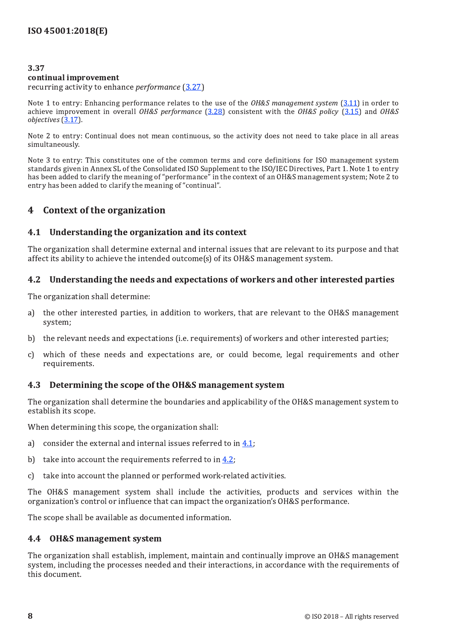## <span id="page-17-0"></span>3 .37 continual improvement

recurring activity to enhance *performance* (3.27)

Note 1 to entry: Enhancing performance relates to the use of the OH&S management system (3.11) in order to achieve improvement in overall OH&S performance  $(3.28)$  consistent with the OH&S policy  $(3.15)$  and OH&S  $objectives (3.17)$ .

Note 2 to entry: Continual does not mean continuous, so the activity does not need to take place in all areas simultaneously.

Note 3 to entry: This constitutes one of the common terms and core definitions for ISO management system standards given in Annex SL of the Consolidated ISO Supplement to the ISO/IEC Directives, Part 1. Note 1 to entry has been added to clarify the meaning of "performance" in the context of an OH&S management system; Note 2 to entry has been added to clarify the meaning of "continual".

# 4 Context of the organization

## 4.1 Understanding the organization and its context

The organization shall determine external and internal issues that are relevant to its purpose and that affect its ability to achieve the intended outcome(s) of its OH&S management system.

## 4.2 Understanding the needs and expectations of workers and other interested parties

The organization shall determine:

- a) the other interested parties, in addition to workers, that are relevant to the OH&S management system;
- b) the relevant needs and expectations (i.e. requirements) of workers and other interested parties;
- which of these needs and expectations are, or could become, legal requirements and other C) requirements.

## 4.3 Determining the scope of the OH&S management system  $4.3$

The organization shall determine the boundaries and applicability of the OH&S management system to establish its scope.

When determining this scope, the organization shall:

- a) consider the external and internal issues referred to in  $4.1$ ;
- b) take into account the requirements referred to in  $4.2$ ;
- c) take into account the planned or performed work-related activities.

The OH&S management system shall include the activities, products and services within the organization's control or influence that can impact the organization's OH&S performance.

The scope shall be available as documented information.

## 4.4 OH&S management system

The organization shall establish, implement, maintain and continually improve an OH&S management system, including the processes needed and their interactions, in accordance with the requirements of this document. <u>th is done that it is done</u>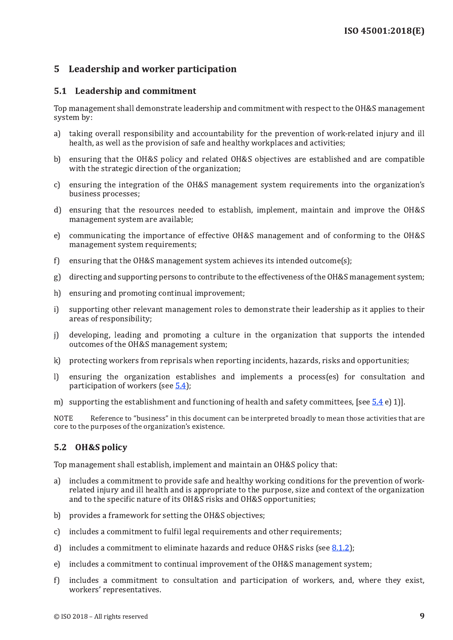# <span id="page-18-0"></span>5 Leadership and worker participation

## 5 .1 Leadership and commitment

Top management shall demonstrate leadership and commitment with respect to the OH&S management system by:

- a) taking overall responsibility and accountability for the prevention of work-related injury and ill health, as well as the provision of safe and healthy workplaces and activities;
- b) ensuring that the OH&S policy and related OH&S objectives are established and are compatible with the strategic direction of the organization;
- c) ensuring the integration of the OH&S management system requirements into the organization's business processes:
- d) ensuring that the resources needed to establish, implement, maintain and improve the OH&S management system are available;
- e) communicating the importance of effective OH&S management and of conforming to the OH&S management system requirements;
- f) ensuring that the OH&S management system achieves its intended outcome(s);
- g) directing and supporting persons to contribute to the effectiveness of the OH&S management system;
- h) ensuring and promoting continual improvement;
- i) supporting other relevant management roles to demonstrate their leadership as it applies to their areas of responsibility;
- j) developing, leading and promoting a culture in the organization that supports the intended outcomes of the OH&S management system;
- $k$ ) protecting workers from reprisals when reporting incidents, hazards, risks and opportunities;
- l) ensuring the organization establishes and implements a process(es) for consultation and participation of workers (see 5.4);
- m) supporting the establishment and functioning of health and safety committees, [see  $5.4$  e) 1].

NOTE Reference to "business" in this document can be interpreted broadly to mean those activities that are core to the purposes of the organization's existence.

# 5 .2 OH&S policy

Top management shall establish, implement and maintain an OH&S policy that:

- a) includes a commitment to provide safe and healthy working conditions for the prevention of workrelated injury and ill health and is appropriate to the purpose, size and context of the organization and to the specific nature of its OH&S risks and OH&S opportunities;
- b) provides a framework for setting the OH&S objectives;
- c) includes a commitment to fulfil legal requirements and other requirements;
- d) includes a commitment to eliminate hazards and reduce OH&S risks (see  $8.1.2$ );
- e) includes a commitment to continual improvement of the OH&S management system;
- $f$ includes a commitment to consultation and participation of workers, and, where they exist, workers' representatives.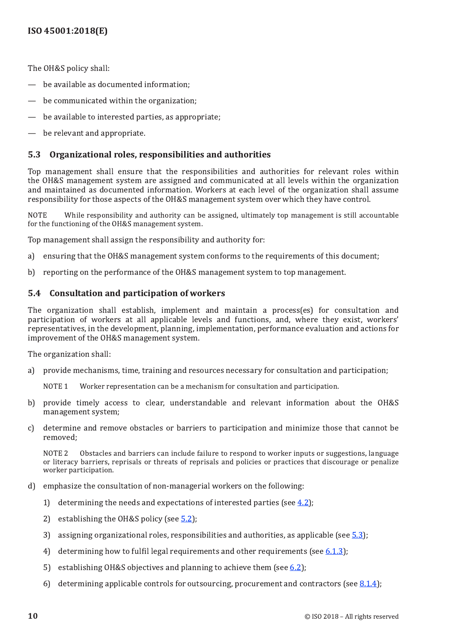<span id="page-19-0"></span>The OH&S policy shall:

- be available as documented information;
- be communicated within the organization;
- be available to interested parties, as appropriate;
- $-$  be relevant and appropriate.

## 5.3 Organizational roles, responsibilities and authorities

Top management shall ensure that the responsibilities and authorities for relevant roles within the OH&S management system are assigned and communicated at all levels within the organization and maintained as documented information. Workers at each level of the organization shall assume responsibility for those aspects of the OH&S management system over which they have control.

NOTE While responsibility and authority can be assigned, ultimately top management is still accountable for the functioning of the OH&S management system.

Top management shall assign the responsibility and authority for:

- a) ensuring that the OH&S management system conforms to the requirements of this document;
- b) reporting on the performance of the OH&S management system to top management.

## 5 .4 Consultation and participation of workers

The organization shall establish, implement and maintain a process(es) for consultation and participation of workers at all applicable levels and functions, and, where they exist, workers' representatives, in the development, planning, implementation, performance evaluation and actions for improvement of the OH&S management system.

The organization shall:

a) provide mechanisms, time, training and resources necessary for consultation and participation;

NOTE<sub>1</sub> Worker representation can be a mechanism for consultation and participation.

- b) provide timely access to clear, understandable and relevant information about the OH&S management system;
- c) determine and remove obstacles or barriers to participation and minimize those that cannot be removed;

NOTE 2 Obstacles and barriers can include failure to respond to worker inputs or suggestions, language or literacy barriers, reprisals or threats of reprisals and policies or practices that discourage or penalize worker participation.

- d) emphasize the consultation of non-managerial workers on the following:
	- 1) determining the needs and expectations of interested parties (see  $4.2$ );
	- 2) establishing the OH&S policy (see  $\overline{5.2}$ );
	- 3) assigning organizational roles, responsibilities and authorities, as applicable (see  $[5.3]$ ;
	- 4) determining how to fulfil legal requirements and other requirements (see  $6.1.3$ );
	- 5) establishing OH&S objectives and planning to achieve them (see  $6.2$ );
	- 6) determining applicable controls for outsourcing, procurement and contractors (see  $8.1.4$ );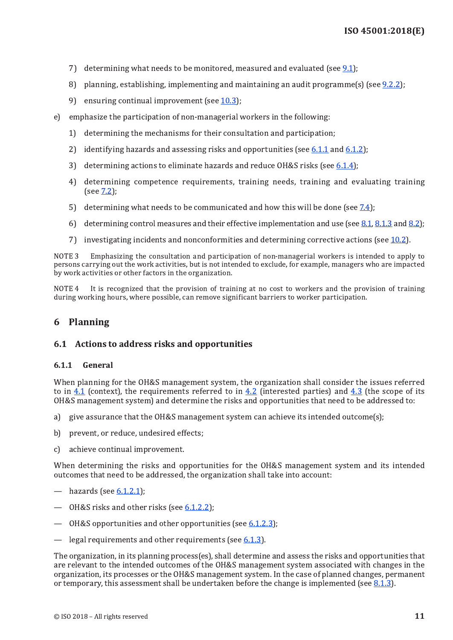- <span id="page-20-0"></span>7) determining what needs to be monitored, measured and evaluated (see 9.1):
- planning, establishing, implementing and maintaining an audit programme(s) (see  $9.2.2$ ); 8)
- 9) ensuring continual improvement (see  $10.3$ );
- $\epsilon$ emphasize the participation of non-managerial workers in the following:
	- 1) determining the mechanisms for their consultation and participation;
	- $2)$ identifying hazards and assessing risks and opportunities (see  $6.1.1$  and  $6.1.2$ );
	- determining actions to eliminate hazards and reduce OH&S risks (see 6.1.4);  $3)$
	- 4) determining competence requirements, training needs, training and evaluating training  $(see 7.2);$
	- 5) determining what needs to be communicated and how this will be done (see  $7.4$ );
	- 6) determining control measures and their effective implementation and use (see 8.1, 8.1.3 and 8.2):
	- 7) investigating incidents and nonconformities and determining corrective actions (see 10.2).

NOTE<sub>3</sub> Emphasizing the consultation and participation of non-managerial workers is intended to apply to persons carrying out the work activities, but is not intended to exclude, for example, managers who are impacted by work activities or other factors in the organization.

It is recognized that the provision of training at no cost to workers and the provision of training NOTE<sub>4</sub> during working hours, where possible, can remove significant barriers to worker participation.

# 6 Planning

## 6.1 Actions to address risks and opportunities

### $6.1.1$ General

When planning for the OH&S management system, the organization shall consider the issues referred to in 4.1 (context), the requirements referred to in 4.2 (interested parties) and 4.3 (the scope of its OH&S management system) and determine the risks and opportunities that need to be addressed to:

- a) give assurance that the OH&S management system can achieve its intended outcome(s);
- b) prevent, or reduce, undesired effects;
- achieve continual improvement.  $\overline{c}$

When determining the risks and opportunities for the OH&S management system and its intended outcomes that need to be addressed, the organization shall take into account:

- hazards (see  $6.1.2.1$ );
- OH&S risks and other risks (see 6.1.2.2);
- OH&S opportunities and other opportunities (see 6.1.2.3);
- $-$  legal requirements and other requirements (see  $6.1.3$ ).

The organization, in its planning process(es), shall determine and assess the risks and opportunities that are relevant to the intended outcomes of the OH&S management system associated with changes in the organization, its processes or the OH&S management system. In the case of planned changes, permanent or temporary, this assessment shall be undertaken before the change is implemented (see  $8.1.3$ ).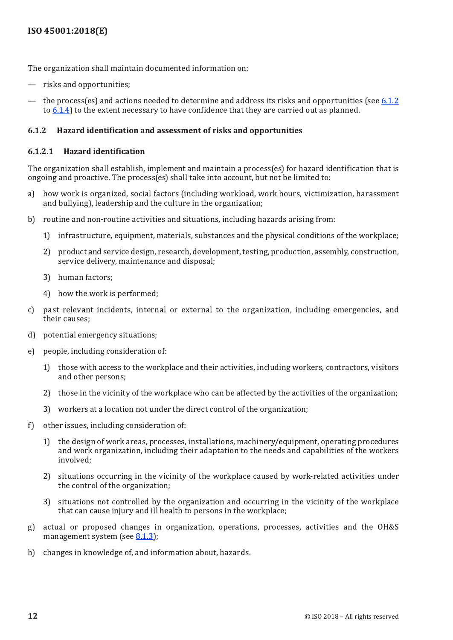<span id="page-21-0"></span>The organization shall maintain documented information on:

- $-$  risks and opportunities;
- the process(es) and actions needed to determine and address its risks and opportunities (see  $6.1.2$ ) to  $6.1.4$ ) to the extent necessary to have confidence that they are carried out as planned.

## 6.1.2 Hazard identification and assessment of risks and opportunities

## 6.1.2.1 Hazard identification

The organization shall establish, implement and maintain a process(es) for hazard identification that is ongoing and proactive. The process(es) shall take into account, but not be limited to:

- how work is organized, social factors (including workload, work hours, victimization, harassment a) and bullying), leadership and the culture in the organization;
- routine and non-routine activities and situations, including hazards arising from:  $h$ 
	- 1) infrastructure, equipment, materials, substances and the physical conditions of the workplace;
	- 2) product and service design, research, development, testing, production, assembly, construction, service delivery, maintenance and disposal;
	- 3) human factors:
	- 4) how the work is performed;
- c) past relevant incidents, internal or external to the organization, including emergencies, and their causes:
- d) potential emergency situations;
- e) people, including consideration of:
	- 1) those with access to the workplace and their activities, including workers, contractors, visitors and other persons;
	- 2) those in the vicinity of the workplace who can be affected by the activities of the organization;
	- 3) workers at a location not under the direct control of the organization;
- f) other issues, including consideration of:
	- 1) the design of work areas, processes, installations, machinery/equipment, operating procedures and work organization, including their adaptation to the needs and capabilities of the workers involved;
	- 2) situations occurring in the vicinity of the workplace caused by work-related activities under the control of the organization;
	- 3) situations not controlled by the organization and occurring in the vicinity of the workplace that can cause injury and ill health to persons in the workplace;
- g) actual or proposed changes in organization, operations, processes, activities and the OH&S management system (see  $8.1.3$ );
- h) changes in knowledge of, and information about, hazards.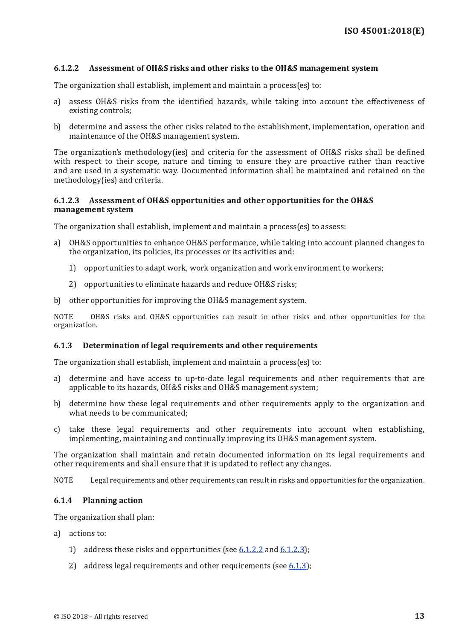## <span id="page-22-0"></span>6 .1 .2 .2 Assessment of OH&S risks and other risks to the OH&S management system

The organization shall establish, implement and maintain a process(es) to:

- a) assess OH&S risks from the identified hazards, while taking into account the effectiveness of existing controls;
- b) determine and assess the other risks related to the establishment, implementation, operation and maintenance of the OH&S management system.

The organization's methodology(ies) and criteria for the assessment of OH&S risks shall be defined with respect to their scope, nature and timing to ensure they are proactive rather than reactive and are used in a systematic way. Documented information shall be maintained and retained on the methodology(ies) and criteria.

## 6 .1 .2 .3 Assessment of OH&S opportunities and other opportunities for the OH&S management system

The organization shall establish, implement and maintain a process(es) to assess:

- a) OH&S opportunities to enhance OH&S performance, while taking into account planned changes to the organization, its policies, its processes or its activities and:
	- 1) opportunities to adapt work, work organization and work environment to workers;
	- 2) opportunities to eliminate hazards and reduce OH&S risks;
- b) other opportunities for improving the OH&S management system.

NOTE OH&S risks and OH&S opportunities can result in other risks and other opportunities for the organization.

#### 6.1.3 Determination of legal requirements and other requirements

The organization shall establish, implement and maintain a process(es) to:

- determine and have access to up-to-date legal requirements and other requirements that are al applicable to its hazards, OH&S risks and OH&S management system;
- b) determine how these legal requirements and other requirements apply to the organization and what needs to be communicated;
- c) take these legal requirements and other requirements into account when establishing, implementing, maintaining and continually improving its OH&S management system.

The organization shall maintain and retain documented information on its legal requirements and other requirements and shall ensure that it is updated to reflect any changes.

NOTE Legal requirements and other requirements can result in risks and opportunities for the organization.

### Planning action  $6.1.4$

The organization shall plan:

- a) actions to:
	- 1) address these risks and opportunities (see  $6.1.2.2$  and  $6.1.2.3$ );
	- 2) address legal requirements and other requirements (see  $6.1.3$ );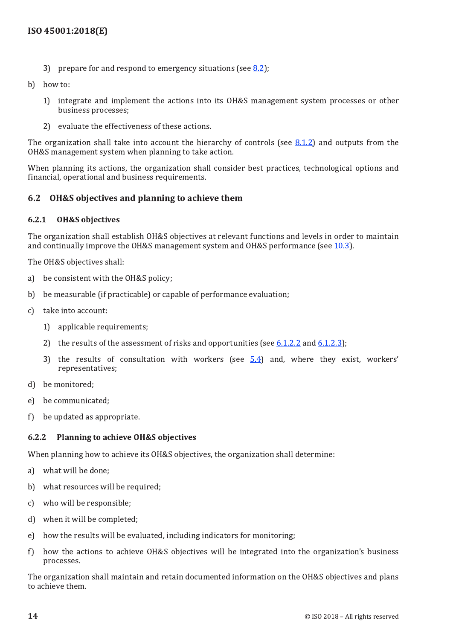- <span id="page-23-0"></span>3) prepare for and respond to emergency situations (see  $\underline{8.2}$ );
- b) how to:
	- 1) integrate and implement the actions into its OH&S management system processes or other business processes;
	- 2) evaluate the effectiveness of these actions.

The organization shall take into account the hierarchy of controls (see  $8.1.2$ ) and outputs from the OH&S management system when planning to take action.

When planning its actions, the organization shall consider best practices, technological options and financial, operational and business requirements.

## 6.2 OH&S objectives and planning to achieve them

## 6 .2 .1 OH&S ob jectives

The organization shall establish OH&S objectives at relevant functions and levels in order to maintain and continually improve the OH&S management system and OH&S performance (see  $\angle 10.3$ ).

The OH&S objectives shall:

- a) be consistent with the OH&S policy;
- b) be measurable (if practicable) or capable of performance evaluation;
- c) take into account:
	- 1) applicable requirements;
	- 2) the results of the assessment of risks and opportunities (see  $6.1.2.2$  and  $6.1.2.3$ );
	- 3) the results of consultation with workers (see  $5.4$ ) and, where they exist, workers' representatives;
- d) be monitored;
- e) be communicated;
- $f$ ) be updated as appropriate.

## 6.2.2 Planning to achieve OH&S objectives

When planning how to achieve its OH&S objectives, the organization shall determine:

- a) what will be done;
- b) what resources will be required;
- c) who will be responsible;
- d) when it will be completed;
- e) how the results will be evaluated, including indicators for monitoring;
- f) how the actions to achieve  $OHRS$  objectives will be integrated into the organization's business processes.

The organization shall maintain and retain documented information on the OH&S objectives and plans to achieve them.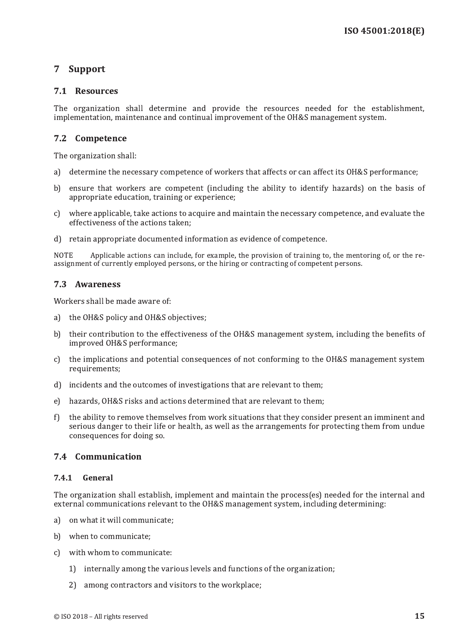# <span id="page-24-0"></span>7 Support

## 7 .1 Resources

The organization shall determine and provide the resources needed for the establishment, imp lementation, maintenance and continual improvement of the OH&S management system.

## 7 .2 Competence

The organization shall:

- a) determine the necessary competence of workers that affects or can affect its OH&S performance;
- b) ensure that workers are competent (including the ability to identify hazards) on the basis of appropriate education, training or experience;
- c) where applicable, take actions to acquire and maintain the necessary competence, and evaluate the effectiveness of the actions taken;
- d) retain appropriate documented information as evidence of competence.

NOTE Applicable actions can include, for example, the provision of training to, the mentoring of, or the reassignment of currently employed persons, or the hiring or contracting of competent persons.

## 7 .3 Awareness

Workers shall be made aware of:

- a) the OH&S policy and OH&S objectives;
- b) their contribution to the effectiveness of the OH&S management system, including the benefits of improved OH&S performance;
- c) the implications and potential consequences of not conforming to the OH&S management system requirements;
- d) incidents and the outcomes of investigations that are relevant to them;
- e) hazards, OH&S risks and actions determined that are relevant to them;
- f) the ability to remove themselves from work situations that they consider present an imminent and serious danger to their life or health, as well as the arrangements for protecting them from undue consequences for doing so.

## 7.4 Communication

The organization shall establish, implement and maintain the process(es) needed for the internal and external communications relevant to the OH&S management system, including determining:

- a) on what it will communicate;
- b) when to communicate;
- c) with whom to communicate:
	- 1) internally among the various levels and functions of the organization;
	- 2) among contractors and visitors to the workplace;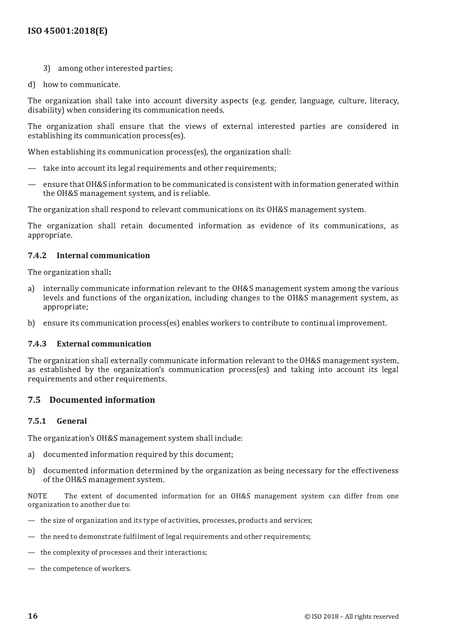- <span id="page-25-0"></span>3) among other interested parties;
- d) how to communicate.

The organization shall take into account diversity aspects (e.g. gender, language, culture, literacy, disability) when considering its communication needs.

The organization shall ensure that the views of external interested parties are considered in establishing its communication process(es).

When establishing its communication process(es), the organization shall:

- take into account its legal requirements and other requirements;
- ensure that OH&S information to be communicated is consistent with information generated within the OH&S management system, and is reliable.

The organization shall respond to relevant communications on its OH&S management system.

The organization shall retain documented information as evidence of its communications, as appropriate.

## 7 .4.2 Internal communication

The organization shall:

- a) internally communicate information relevant to the OH&S management system among the various levels and functions of the organization, including changes to the OH&S management system, as appropriate;
- b) ensure its communication process(es) enables workers to contribute to continual improvement.

#### 7.4.3 **External communication** 7 .4.3 External communication

The organization shall externally communicate information relevant to the OH&S management system, as established by the organization's communication process(es) and taking into account its legal requirements and other requirements.

## 7 .5 Documented information

### $7.5.1$ General

The organization's OH&S management system shall include:

- a) documented information required by this document;
- b) documented information determined by the organization as being necessary for the effectiveness of the OH&S management system.

**NOTE** The extent of documented information for an OH&S management system can differ from one organization to another due to:

- the size of organization and its type of activities, processes, products and services;
- $-$  the need to demonstrate fulfilment of legal requirements and other requirements;
- $-$  the complexity of processes and their interactions;
- the competence of workers .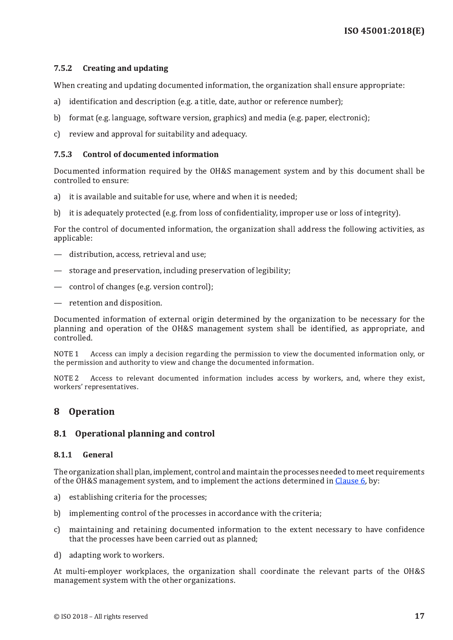## <span id="page-26-0"></span>7 .5 .2 Creating and updating

When creating and updating documented information, the organization shall ensure appropriate:

- a) identification and description (e.g. a title, date, author or reference number);
- b) format (e.g. language, software version, graphics) and media (e.g. paper, electronic);
- c) review and approval for suitability and adequacy.

#### **Control of documented information**  $7.5.3$ 7 .5 .3 Contro l of documented information

Documented information required by the OH&S management system and by this document shall be contro contro to ensure the to

- it is available and suitable for use, where and when it is needed;  $a)$
- b) it is adequately protected (e.g. from loss of confidentiality, improper use or loss of integrity).

For the control of documented information, the organization shall address the following activities, as applicable:

- $-$  distribution, access, retrieval and use;
- $-$  storage and preservation, including preservation of legibility;
- $\sim$  control of changes (e.g. version control);
- $-$  retention and disposition.

Documented information of external origin determined by the organization to be necessary for the planning and operation of the OH&S management system shall be identified, as appropriate, and controlled.

NOTE 1 Access can imply a decision regarding the permission to view the documented information only, or the permission and authority to view and change the documented information.

NOTE 2 Access to relevant documented information includes access by workers, and, where they exist, workers' representatives.

## 8 Operation

## 8.1 Operational planning and control

#### 8.1.1 General 8 .1 .1 General

The organization shall plan, implement, control and maintain the processes needed to meet requirements of the OH&S management system, and to implement the actions determined in Clause  $6$ , by:

- a) establishing criteria for the processes;
- b) implementing control of the processes in accordance with the criteria;
- c) maintaining and retaining documented information to the extent necessary to have confidence that the processes have been carried out as planned;
- d) adapting work to workers.

At multi-employer workplaces, the organization shall coordinate the relevant parts of the OH&S management system with the other organizations.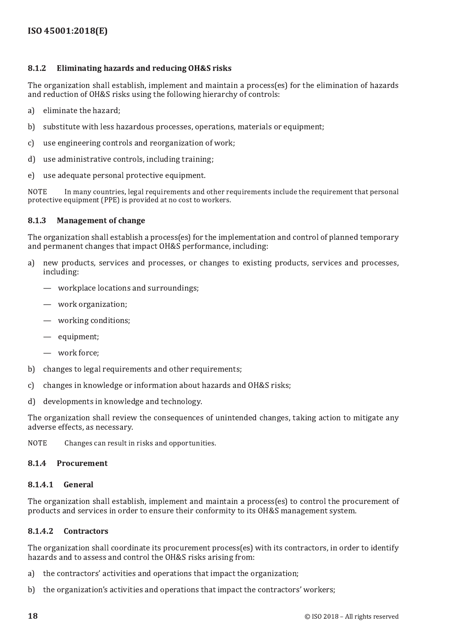## <span id="page-27-0"></span>8.1.2 Eliminating hazards and reducing OH&S risks

The organization shall establish, implement and maintain a process(es) for the elimination of hazards and reduction of OH&S risks using the following hierarchy of controls:

- a) eliminate the hazard;
- b) substitute with less hazardous processes, operations, materials or equipment;
- c) use engineering controls and reorganization of work;
- d) use administrative controls, including training;
- e) use adequate personal protective equipment.

NOTE In many countries, legal requirements and other requirements include the requirement that personal protective equipment (PPE) is provided at no cost to workers.

## 8.1.3 Management of change

The organization shall establish a process(es) for the implementation and control of planned temporary and permanent changes that impact OH&S performance, including:

- a) new products, services and processes, or changes to existing products, services and processes, including:
	- $-$  workplace locations and surroundings;
	- $-$  work organization;
	- $-$  working conditions;
	- equ ipment;
	- work force ;
- b) changes to legal requirements and other requirements;
- c) changes in knowledge or information about hazards and OH&S risks;
- d) developments in knowledge and technology.

The organization shall review the consequences of unintended changes, taking action to mitigate any adverse effects, as necessary.

NOTE Changes can result in risks and opportunities.

## 8.1.4 Procurement

### $8.1.4.1$ General

The organization shall establish, implement and maintain a process(es) to control the procurement of products and services in order to ensure their conformity to its OH&S management system.

## .....................

The organization shall coordinate its procurement process(es) with its contractors, in order to identify hazards and to assess and control the OH&S risks arising from:

- a) the contractors' activities and operations that impact the organization;
- b) the organization's activities and operations that impact the contractors' workers;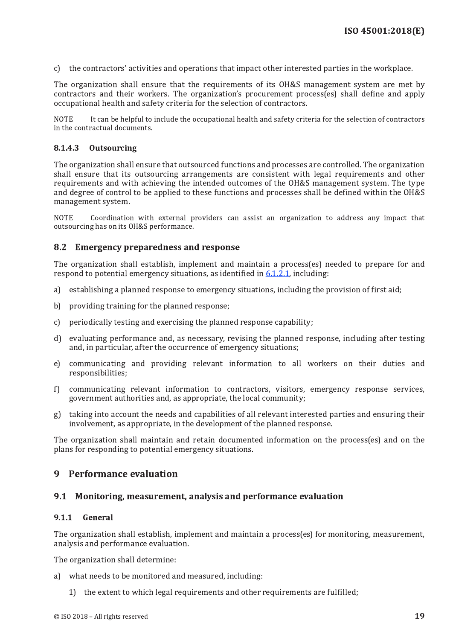<span id="page-28-0"></span>c) the contractors' activities and operations that impact other interested parties in the workplace.

The organization shall ensure that the requirements of its OH&S management system are met by contractors and their workers. The organization's procurement process(es) shall define and apply occupational health and safety criteria for the selection of contractors.

NOTE It can be helpful to include the occupational health and safety criteria for the selection of contractors in the contractual documents.

### 8.1.4.3 **Outsourcing**

The organization shall ensure that outsourced functions and processes are controlled. The organization shall ensure that its outsourcing arrangements are consistent with legal requirements and other requirements and with achieving the intended outcomes of the OH&S management system. The type and degree of control to be applied to these functions and processes shall be defined within the OH&S management system.

**NOTE** Coordination with external providers can assist an organization to address any impact that outsourcing has on its OH&S performance.

## Emergency preparedness and response 8.2

The organization shall establish, implement and maintain a process(es) needed to prepare for and respond to potential emergency situations, as identified in  $6.1.2.1$ , including:

- a) establishing a planned response to emergency situations, including the provision of first aid;
- b) providing training for the planned response;
- c) periodically testing and exercising the planned response capability;
- d) evaluating performance and, as necessary, revising the planned response, including after testing and, in particular, after the occurrence of emergency situations;
- e) communicating and providing relevant information to all workers on their duties and responsibilities;
- f) communicating relevant information to contractors, visitors, emergency response services, government authorities and, as appropriate, the local community;
- g) taking into account the needs and capabilities of all relevant interested parties and ensuring their involvement, as appropriate, in the development of the planned response.

The organization shall maintain and retain documented information on the process(es) and on the plans for responding to potential emergency situations.

## **Performance evaluation** 9

## 9.1 Monitoring, measurement, analysis and performance evaluation

#### $9.1.1$ General . .\_.\_\_ *...* ... . ...

The organization shall establish, implement and maintain a process(es) for monitoring, measurement, analysis and performance evaluation.

The organization shall determine:

- a) what needs to be monitored and measured, including:
	- 1) the extent to which legal requirements and other requirements are fulfilled;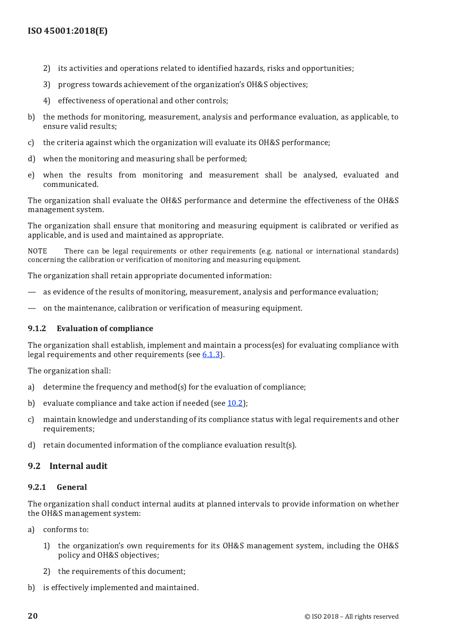## <span id="page-29-0"></span>ISO 45001 :2018(E)

- 2) its activities and operations related to identified hazards, risks and opportunities;
- 3) progress towards achievement of the organization's OH&S objectives;
- 4) effectiveness of operational and other controls;
- b) the methods for monitoring, measurement, analysis and performance evaluation, as applicable, to ensure valid results:
- c) the criteria against which the organization will evaluate its  $OH&S$  performance;
- d) when the monitoring and measuring shall be performed;
- $\epsilon$ when the results from monitoring and measurement shall be analysed, evaluated and communicated.

The organization shall evaluate the OH&S performance and determine the effectiveness of the OH&S management system.

The organization shall ensure that monitoring and measuring equipment is calibrated or verified as applicable, and is used and maintained as appropriate.

**NOTE** There can be legal requirements or other requirements (e.g. national or international standards) concerning the calibration or verification of monitoring and measuring equipment.

The organization shall retain appropriate documented information:

- $-$  as evidence of the results of monitoring, measurement, analysis and performance evaluation:
- $-$  on the maintenance, calibration or verification of measuring equipment.

## 9.1.2 Evaluation of compliance

The organization shall establish, implement and maintain a process(es) for evaluating compliance with legal requirements and other requirements (see  $6.1.3$ ).

The organization shall:

- a) determine the frequency and method(s) for the evaluation of compliance;
- b) evaluate compliance and take action if needed (see  $\frac{10.2}{10.2}$ );
- c) maintain knowledge and understanding of its compliance status with legal requirements and other requirements;
- d) retain documented information of the compliance evaluation result(s).

## 9.2 Internal audit 9 .2 Internal audit

#### $9.2.1$ General . .—.— **. . . . . . .**

The organization shall conduct internal audits at planned intervals to provide information on whether the OH&S management system:

a) conforms to:

- 1) the organization's own requirements for its OH&S management system, including the OH&S policy and OH&S objectives;
- 2) the requirements of this document;
- b) is effectively implemented and maintained.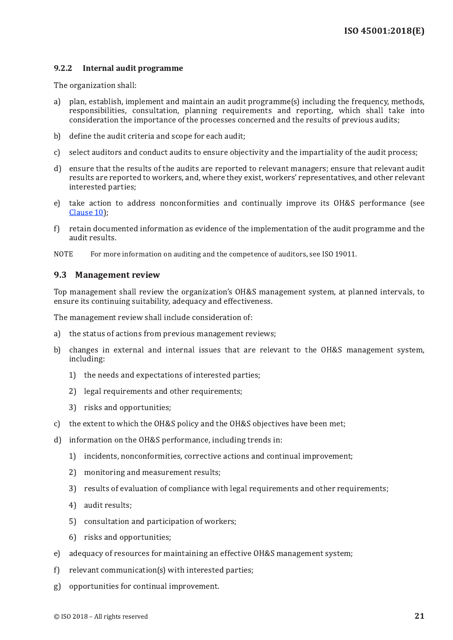## <span id="page-30-0"></span>9.2.2 Internal audit programme

The organization shall:

- a) plan, establish, implement and maintain an audit programme(s) including the frequency, methods, responsibilities, consultation, planning requirements and reporting, which shall take into consideration the importance of the processes concerned and the results of previous audits;
- b) define the audit criteria and scope for each audit;
- c) select auditors and conduct audits to ensure objectivity and the impartiality of the audit process;
- d) ensure that the results of the audits are reported to relevant managers; ensure that relevant audit results are reported to workers, and, where they exist, workers' representatives, and other relevant interested parties;
- e) take action to address nonconformities and continually improve its OH&S performance (see Clause 10);
- f) retain documented information as evidence of the implementation of the audit programme and the audit results.
- NOTE For more information on auditing and the competence of auditors, see ISO 19011.

## 9.3 Management review

Top management shall review the organization's OH&S management system, at planned intervals, to ensure its continuing suitability, adequacy and effectiveness.

The management review shall include consideration of:

- a) the status of actions from previous management reviews;
- b) changes in external and internal issues that are relevant to the OH&S management system, including:
	- 1) the needs and expectations of interested parties:
	- 2) legal requirements and other requirements;
	- 3) risks and opportunities;
- c) the extent to which the OH&S policy and the OH&S objectives have been met;
- information on the OH&S performance, including trends in:  $d$ 
	- 1) incidents, nonconformities, corrective actions and continual improvement;
	- 2) monitoring and measurement results;
	- 3) results of evaluation of compliance with legal requirements and other requirements;
	- 4) audit results;
	- 5) consultation and participation of workers;
	- 6) risks and opportunities;
- e) adequacy of resources for maintaining an effective OH&S management system;
- f) relevant communication(s) with interested parties;
- g) opportunities for continual improvement.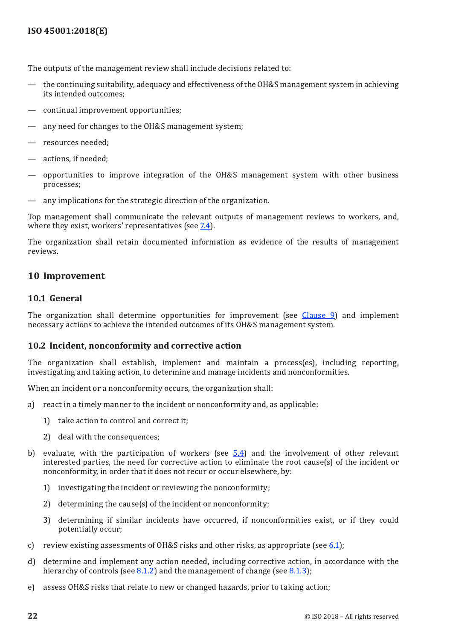<span id="page-31-0"></span>The outputs of the management review shall include decisions related to:

- the continuing suitability, adequacy and effectiveness of the OH&S management system in achieving its intended outcomes:
- continual improvement opportunities;
- any need for changes to the OH&S management system;
- resources needed;
- actions, if needed;
- opportunities to improve integration of the OH&S management system with other business processes;
- any implications for the strategic direction of the organization.

Top management shall communicate the relevant outputs of management reviews to workers, and, where they exist, workers' representatives (see  $7.4$ ).

The organization shall retain documented information as evidence of the results of management reviews. reviews .

# 10 Improvement

## 10.1 General 10 .1 General

The organization shall determine opportunities for improvement (see Clause 9) and implement necessary actions to achieve the intended outcomes of its OH&S management system.

## 10.2 Incident, nonconformity and corrective action

The organization shall establish, implement and maintain a process(es), including reporting, investigating and taking action, to determine and manage incidents and nonconformities.

When an incident or a nonconformity occurs, the organization shall:

- react in a timely manner to the incident or nonconformity and, as applicable:
	- 1) take action to control and correct it;
	- 2) deal with the consequences;
- evaluate, with the participation of workers (see  $5.4$ ) and the involvement of other relevant b) interested parties, the need for corrective action to eliminate the root cause(s) of the incident or nonconformity, in order that it does not recur or occur elsewhere, by:
	- 1) investigating the incident or reviewing the nonconformity;
	- 2) determining the cause(s) of the incident or nonconformity;
	- 3) determining if similar incidents have occurred, if nonconformities exist, or if they could potentially occur;
- c) review existing assessments of OH&S risks and other risks, as appropriate (see  $6.1$ );
- d) determine and implement any action needed, including corrective action, in accordance with the hierarchy of controls (see  $8.1.2$ ) and the management of change (see  $8.1.3$ );
- e) assess OH&S risks that relate to new or changed hazards, prior to taking action;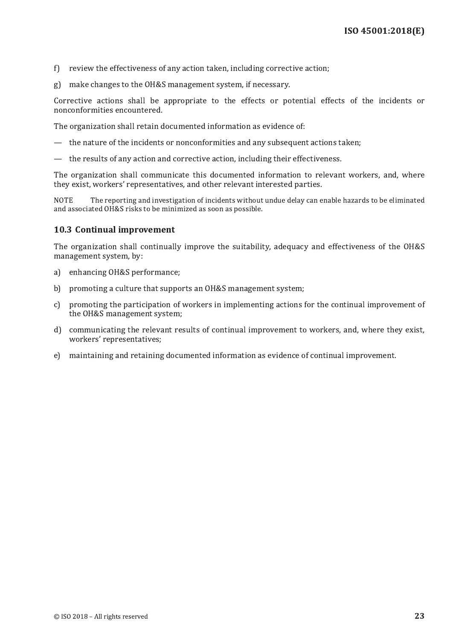- <span id="page-32-0"></span>f) review the effectiveness of any action taken, including corrective action;
- g) make changes to the OH&S management system, if necessary.

Corrective actions shall be appropriate to the effects or potential effects of the incidents or nonconformities encountered.

The organization shall retain documented information as evidence of:

- $-$  the nature of the incidents or nonconformities and any subsequent actions taken;
- the results of any action and corrective action, including their effectiveness.

The organization shall communicate this documented information to relevant workers, and, where they exist, workers' representatives, and other relevant interested parties.

NOTE The reporting and investigation of incidents without undue delay can enable hazards to be eliminated and associated OH&S risks to be minimized as soon as possible.

## 10 .3 Continual improvement

The organization shall continually improve the suitability, adequacy and effectiveness of the OH&S management system, by:

- a) enhancing OH&S performance;
- b) promoting a culture that supports an OH&S management system;
- c) promoting the participation of workers in implementing actions for the continual improvement of the OH&S management system;
- d) communicating the relevant results of continual improvement to workers, and, where they exist, workers' representatives;
- e) maintaining and retaining documented information as evidence of continual improvement.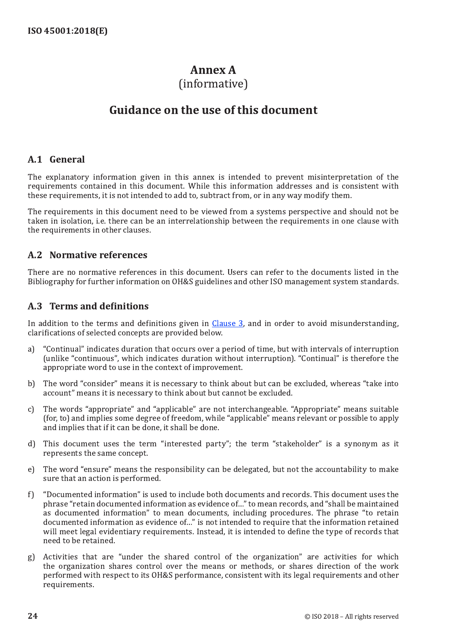## **Annex A** Annex A

# (informative)

## <span id="page-33-0"></span>Guidance on the use of this document Guidance on the use of this document

## A.1 General

The explanatory information given in this annex is intended to prevent misinterpretation of the requirements contained in this document. While this information addresses and is consistent with these requirements, it is not intended to add to, subtract from, or in any way modify them.

The requirements in this document need to be viewed from a systems perspective and should not be taken in isolation, i.e. there can be an interrelationship between the requirements in one clause with the requirements in other clauses.

## A.2 Normative references

There are no normative references in this document. Users can refer to the documents listed in the Bibliography for further information on OH&S guidelines and other ISO management system standards.

# A.3 Terms and definitions

In addition to the terms and definitions given in Clause 3, and in order to avoid misunderstanding, clarifications of selected concepts are provided below.

- a) "Continual" indicates duration that occurs over a period of time, but with intervals of interruption (unlike "continuous", which indicates duration without interruption). "Continual" is therefore the appropriate word to use in the context of improvement.
- b) The word "consider" means it is necessary to think about but can be excluded, whereas "take into account" means it is necessary to think about but cannot be excluded.
- c) The words "appropriate" and "applicable" are not interchangeable. "Appropriate" means suitable (for, to) and implies some degree of freedom, while "applicable" means relevant or possible to apply and implies that if it can be done, it shall be done.
- d) This document uses the term "interested party"; the term "stakeholder" is a synonym as it represents the same concept.
- e) The word "ensure" means the responsibility can be delegated, but not the accountability to make sure that an action is performed.
- f) "Documented information" is used to include both documents and records. This document uses the phrase "retain documented information as evidence of..." to mean records, and "shall be maintained as documented information" to mean documents, including procedures. The phrase "to retain documented information as evidence of..." is not intended to require that the information retained will meet legal evidentiary requirements. Instead, it is intended to define the type of records that need to be retained.
- g) Activities that are "under the shared control of the organization" are activities for which the organization shares control over the means or methods, or shares direction of the work performed with respect to its OH&S performance, consistent with its legal requirements and other requirements.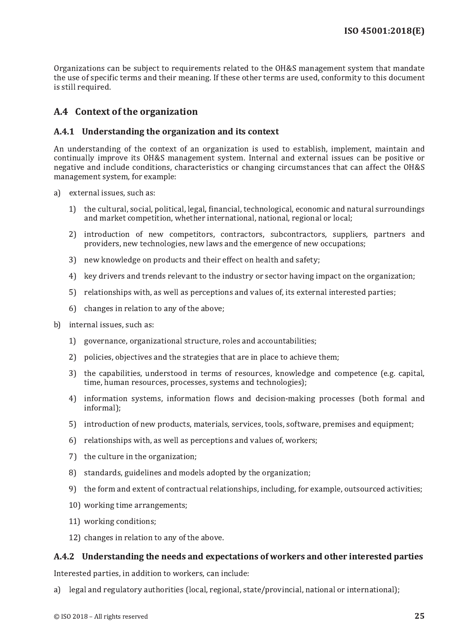Organizations can be subject to requirements related to the OH&S management system that mandate the use of specific terms and their meaning. If these other terms are used, conformity to this document is still required.

# A.4 Context of the organization

## A.4.1 Understanding the organization and its context

An understanding of the context of an organization is used to establish, implement, maintain and continually improve its OH&S management system. Internal and external issues can be positive or negative and include conditions, characteristics or changing circumstances that can affect the OH&S management system, for example:

- a) external issues, such as:
	- 1) the cultural, social, political, legal, financial, technological, economic and natural surroundings and market competition, whether international, national, regional or local;
	- 2) introduction of new competitors, contractors, subcontractors, suppliers, partners and providers, new technologies, new laws and the emergence of new occupations;
	- 3) new knowledge on products and their effect on health and safety;
	- 4) key drivers and trends relevant to the industry or sector having impact on the organization;
	- $5$  relationships with, as well as perceptions and values of, its external interested parties;
	- 6) changes in relation to any of the above;
- b) internal issues, such as:
	- 1) governance, organizational structure, roles and accountabilities;
	- 2) policies, objectives and the strategies that are in place to achieve them;
	- 3) the capabilities, understood in terms of resources, knowledge and competence (e.g. capital, time, human resources, processes, systems and technologies);
	- 4) information systems, information flows and decision-making processes (both formal and informal):
	- 5) introduction of new products, materials, services, tools, software, premises and equipment;
	- 6) relationships with, as well as perceptions and values of, workers;
	- $7$  the culture in the organization;
	- 8) standards, guidelines and models adopted by the organization;
	- 9) the form and extent of contractual relationships, including, for example, outsourced activities;
	- 10) working time arrangements:
	- 11) working conditions;
	- 12) changes in relation to any of the above.

## A.4.2 Understanding the needs and expectations of workers and other interested parties

Interested parties, in addition to workers, can include:

a) legal and regulatory authorities (local, regional, state/provincial, national or international);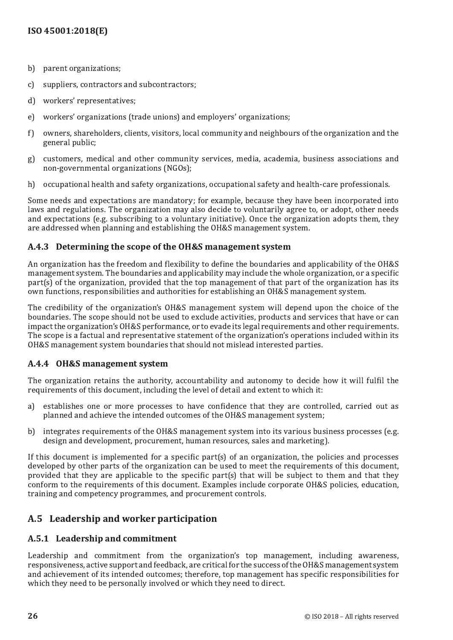- b) parent organizations;
- $c)$  suppliers, contractors and subcontractors;
- d) workers' representatives;
- e) workers' organizations (trade unions) and employers' organizations;
- owners, shareholders, clients, visitors, local community and neighbours of the organization and the f) general public;
- g) customers, medical and other community services, media, academia, business associations and non-governmental organizations (NGOs);
- h) occupational health and safety organizations, occupational safety and health-care professionals.

Some needs and expectations are mandatory; for example, because they have been incorporated into laws and regulations. The organization may also decide to voluntarily agree to, or adopt, other needs and expectations (e.g. subscribing to a voluntary initiative). Once the organization adopts them, they are addressed when planning and establishing the OH&S management system.

## A.4.3 Determining the scope of the OH&S management system

An organization has the freedom and flexibility to define the boundaries and applicability of the OH&S management system. The boundaries and applicability may include the whole organization, or a specific part(s) of the organization, provided that the top management of that part of the organization has its own functions, responsibilities and authorities for establishing an OH&S management system.

The credibility of the organization's OH&S management system will depend upon the choice of the boundaries. The scope should not be used to exclude activities, products and services that have or can impact the organization's OH&S performance, or to evade its legal requirements and other requirements. The scope is a factual and representative statement of the organization's operations included within its OH&S management system boundaries that should not mislead interested parties.

## A.4.4 OH&S management system

The organization retains the authority, accountability and autonomy to decide how it will fulfil the requirements of this document, including the level of detail and extent to which it:

- establishes one or more processes to have confidence that they are controlled, carried out as a) planned and achieve the intended outcomes of the OH&S management system;
- integrates requirements of the OH&S management system into its various business processes (e.g.  $h$ design and development, procurement, human resources, sales and marketing).

If this document is implemented for a specific part(s) of an organization, the policies and processes developed by other parts of the organization can be used to meet the requirements of this document, provided that they are applicable to the specific part(s) that will be subject to them and that they conform to the requirements of this document. Examples include corporate OH&S policies, education, training and competency programmes, and procurement controls.

# A.5 Leadership and worker participation

## A.5 .1 Leadership and commitment

Leadership and commitment from the organization's top management, including awareness, responsiveness, active support and feedback, are critical for the success of the OH&S management system and achievement of its intended outcomes; therefore, top management has specific responsibilities for which they need to be personally involved or which they need to direct.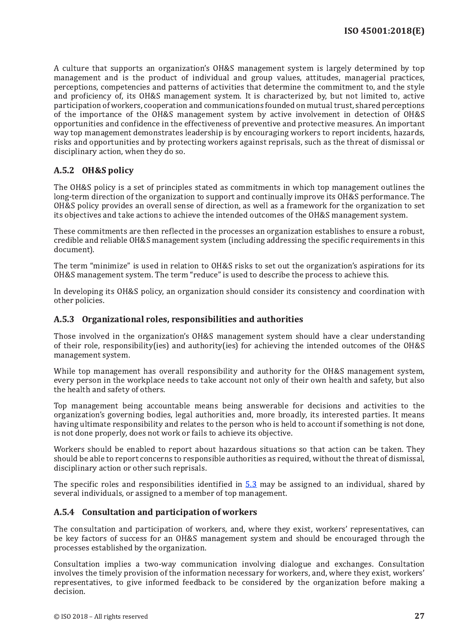A culture that supports an organization's OH&S management system is largely determined by top management and is the product of individual and group values, attitudes, managerial practices, perceptions, competencies and patterns of activities that determine the commitment to, and the style and proficiency of, its OH&S management system. It is characterized by, but not limited to, active participation of workers, cooperation and communications founded on mutual trust, shared perceptions of the importance of the OH&S management system by active involvement in detection of OH&S opportunities and confidence in the effectiveness of preventive and protective measures. An important way top management demonstrates leadership is by encouraging workers to report incidents, hazards, risks and opportunities and by protecting workers against reprisals, such as the threat of dismissal or disciplinary action, when they do so.

## A.5.2 OH&S policy

The OH&S policy is a set of principles stated as commitments in which top management outlines the long-term direction of the organization to support and continually improve its OH&S performance. The OH&S policy provides an overall sense of direction, as well as a framework for the organization to set its objectives and take actions to achieve the intended outcomes of the OH&S management system.

These commitments are then reflected in the processes an organization establishes to ensure a robust, credible and reliable OH&S management system (including addressing the specific requirements in this document).

The term "minimize" is used in relation to OH&S risks to set out the organization's aspirations for its OH&S management system. The term "reduce" is used to describe the process to achieve this.

In developing its OH&S policy, an organization should consider its consistency and coordination with other policies.

## A.5.3 Organizational roles, responsibilities and authorities

Those involved in the organization's OH&S management system should have a clear understanding of their role, responsibility (ies) and authority (ies) for achieving the intended outcomes of the  $O_H \& S$ management system.

While top management has overall responsibility and authority for the OH&S management system, every person in the workplace needs to take account not only of their own health and safety, but also the health and safety of others.

Top management being accountable means being answerable for decisions and activities to the organization's governing bodies, legal authorities and, more broadly, its interested parties. It means having ultimate responsibility and relates to the person who is held to account if something is not done, is not done properly, does not work or fails to achieve its objective.

Workers should be enabled to report about hazardous situations so that action can be taken. They should be able to report concerns to responsible authorities as required, without the threat of dismissal, disciplinary action or other such reprisals.

The specific roles and responsibilities identified in  $5.3$  may be assigned to an individual, shared by several individuals, or assigned to a member of top management.

## A.5.4 Consultation and participation of workers

The consultation and participation of workers, and, where they exist, workers' representatives, can be key factors of success for an OH&S management system and should be encouraged through the processes established by the organization.

Consultation implies a two-way communication involving dialogue and exchanges. Consultation involves the timely provision of the information necessary for workers, and, where they exist, workers' representatives, to give informed feedback to be considered by the organization before making a decision.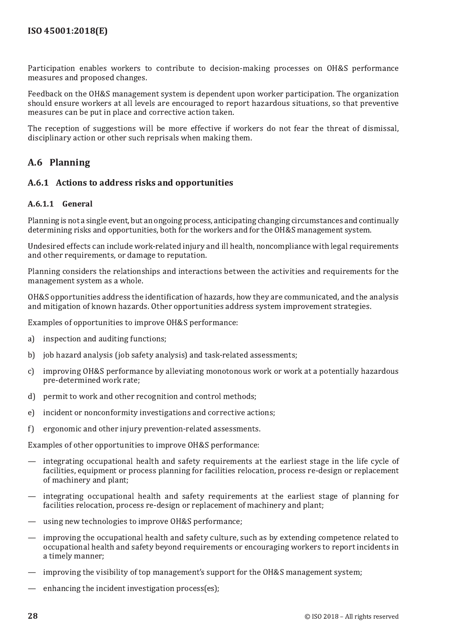Participation enables workers to contribute to decision-making processes on OH&S performance measures and proposed changes .

Feedback on the OH&S management system is dependent upon worker participation. The organization should ensure workers at all levels are encouraged to report hazardous situations, so that preventive measures can be put in place and corrective action taken.

The reception of suggestions will be more effective if workers do not fear the threat of dismissal, disciplinary action or other such reprisals when making them.

# A.6 Planning

## A.6 .1 Actions to address risks and opportunities

## A.6.1.1 General

Planning is not a single event, but an ongoing process, anticipating changing circumstances and continually determining risks and opportunities, both for the workers and for the OH&S management system.

Undes ired effects can include work-related injury and ill health, noncompliance with legal requirements and other requirements, or damage to reputation.

Planning considers the relationships and interactions between the activities and requirements for the management system as a whole.

OH&S opportunities address the identification of hazards, how they are communicated, and the analysis and mitigation of known hazards. Other opportunities address system improvement strategies.

Examples of opportunities to improve OH&S performance:

- a) inspection and auditing functions;
- b) job hazard analysis (job safety analysis) and task-related assessments;
- c) improving OH&S performance by alleviating monotonous work or work at a potentially hazardous pre-determined work rate;
- d) permit to work and other recognition and control methods;
- e) incident or nonconformity investigations and corrective actions;
- f) ergonomic and other injury prevention-related assessments.

Examples of other opportunities to improve OH&S performance:

- integrating occupational health and safety requirements at the earliest stage in the life cycle of facilities, equipment or process planning for facilities relocation, process re-design or replacement of machinery and plant;
- integrating occupational health and safety requirements at the earliest stage of planning for facilities relocation, process re-design or replacement of machinery and plant;
- using new technologies to improve OH&S performance;
- improving the occupational health and safety culture, such as by extending competence related to occupational health and safety beyond requirements or encouraging workers to report incidents in a timely manner;
- improving the visibility of top management's support for the OH&S management system;
- enhancing the incident investigation process(es);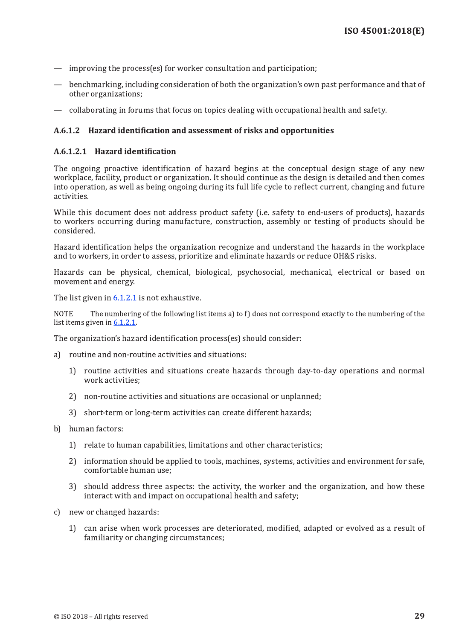- $-$  improving the process(es) for worker consultation and participation;
- $-$  benchmarking, including consideration of both the organization's own past performance and that of other organizations;
- collaborating in forums that focus on topics dealing with occupational health and safety.

## A.6.1.2 Hazard identification and assessment of risks and opportunities

## A.6.1.2.1 Hazard identification

The ongoing proactive identification of hazard begins at the conceptual design stage of any new workplace, facility, product or organization. It should continue as the design is detailed and then comes into operation, as well as being ongoing during its full life cycle to reflect current, changing and future activities.

While this document does not address product safety (i.e. safety to end-users of products), hazards to workers occurring during manufacture, construction, assembly or testing of products should be considered. construction in the construction of the construction of the construction of the construction of the construction of the construction of the construction of the construction of the construction of the construction of the co

Hazard identification helps the organization recognize and understand the hazards in the workplace and to workers, in order to assess, prioritize and eliminate hazards or reduce OH&S risks.

Hazards can be physical, chemical, biological, psychosocial, mechanical, electrical or based on movement and energy.

The list given in  $6.1.2.1$  is not exhaustive.

NOTE The numbering of the following list items a) to f) does not correspond exactly to the numbering of the list items given in  $6.1.2.1$ .

The organization's hazard identification process(es) should consider:

- a) routine and non-routine activities and situations:
	- 1) routine activities and situations create hazards through day-to-day operations and normal work activities;
	- 2) non-routine activities and situations are occasional or unplanned;
	- 3) short-term or long-term activities can create different hazards;
- b) human factors:
	- 1) relate to human capabilities, limitations and other characteristics;
	- 2) information should be applied to tools, machines, systems, activities and environment for safe, comfortable human use;
	- 3) should address three aspects: the activity, the worker and the organization, and how these interact with and impact on occupational health and safety;
- c) new or changed hazards:
	- 1) can arise when work processes are deteriorated, modified, adapted or evolved as a result of familiarity or changing circumstances;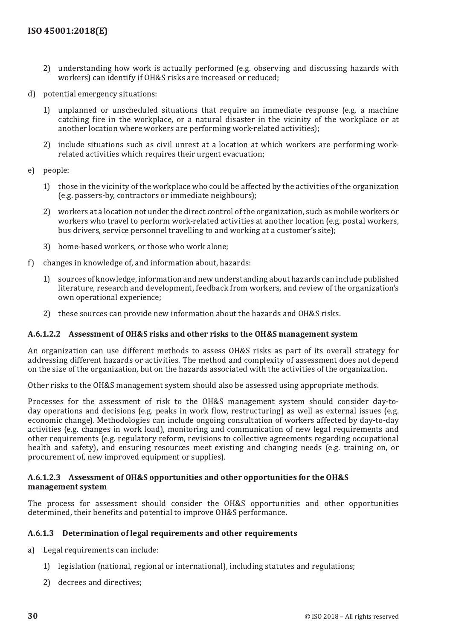- 2) understanding how work is actually performed (e.g. observing and discussing hazards with workers) can identify if OH&S risks are increased or reduced;
- d) potential emergency situations:
	- 1) unplanned or unscheduled situations that require an immediate response (e.g. a machine catching fire in the workplace, or a natural disaster in the vicinity of the workplace or at another location where workers are performing work-related activities);
	- 2) include situations such as civil unrest at a location at which workers are performing workrelated activities which requires their urgent evacuation:
- e) people:
	- 1) those in the vicinity of the workplace who could be affected by the activities of the organization (e.g. passers-by, contractors or immediate neighbours);
	- 2) workers at a location not under the direct control of the organization, such as mobile workers or workers who travel to perform work-related activities at another location (e.g. postal workers, bus drivers, service personnel travelling to and working at a customer's site):
	- 3) home-based workers, or those who work alone;
- f) changes in knowledge of, and information about, hazards :
	- 1) sources of knowledge, information and new understanding about hazards can include published literature, research and development, feedback from workers, and review of the organization's own operational experience;
	- 2) these sources can provide new information about the hazards and OH&S risks.

## A.6 .1 .2 .2 Assessment of OH&S risks and other risks to the OH&S management system

An organization can use different methods to assess OH&S risks as part of its overall strategy for addressing different hazards or activities. The method and complexity of assessment does not depend on the size of the organization, but on the hazards associated with the activities of the organization.

O ther risks to the OH&S management system should also be assessed using appropriate methods.

Processes for the assessment of risk to the OH&S management system should consider day-today operations and decisions (e.g. peaks in work flow, restructuring) as well as external issues (e.g. economic change). Methodologies can include ongoing consultation of workers affected by day-to-day activities (e.g. changes in work load), monitoring and communication of new legal requirements and other requirements (e.g. regulatory reform, revisions to collective agreements regarding occupational health and safety), and ensuring resources meet existing and changing needs (e.g. training on, or procurement of, new improved equipment or supplies).

## A.6 .1 .2 .3 Assessment of OH&S opportunities and other opportunities for the OH&S management system

The process for assessment should consider the OH&S opportunities and other opportunities determined, their benefits and potential to improve OH&S performance.

## A.6 .1 .3 Determination of legal requirements and other requirements

- a) Legal requirements can include:
	- 1) legislation (national, regional or international), including statutes and regulations;
	- 2) decrees and directives;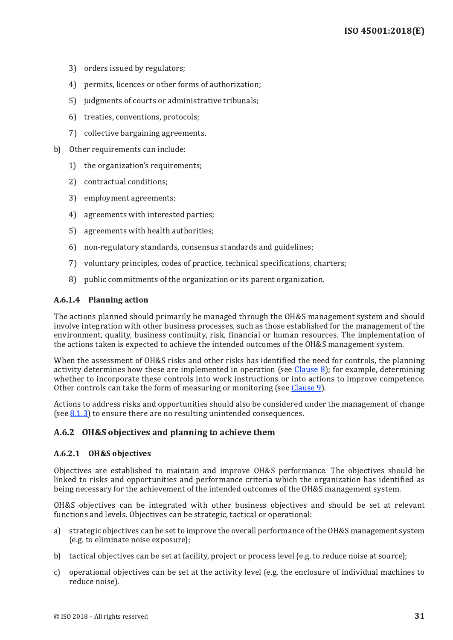- 3) orders issued by regulators;
- 4) permits, licences or other forms of authorization;
- 5) judgments of courts or administrative tribunals;
- 6) treaties, conventions, protocols;
- 7) collective bargaining agreements.
- b) Other requirements can include:
	- 1) the organization's requirements;
	- 2) contractual conditions;
	- 3) employment agreements;
	- 4) agreements with interested parties;
	- 5) agreements with health authorities;
	- 6) non-regulatory standards, consensus standards and guidelines;
	- 7) voluntary principles, codes of practice, technical specifications, charters;
	- 8) public commitments of the organization or its parent organization.

## A.6.1.4 Planning action

The actions planned should primarily be managed through the OH&S management system and should involve integration with other business processes, such as those established for the management of the environment, quality, business continuity, risk, financial or human resources. The implementation of environment, quantity, bus interest continuum ity, risk, financial is continued a resource . The improvementation of the actions taken is expected to achieve the intended outcomes of the OH&S management system.

When the assessment of OH&S risks and other risks has identified the need for controls, the planning activity determines how these are implemented in operation (see Clause 8); for example, determining whether to incorporate these controls into work instructions or into actions to improve competence. O ther controls can take the form of measuring or monitoring (see Clause 9).

Actions to address risks and opportunities should also be considered under the management of change (see  $8.1.3$ ) to ensure there are no resulting unintended consequences.

## A.6.2 OH&S objectives and planning to achieve them

## A.6.2.1 OH&S objectives

Objectives are established to maintain and improve OH&S performance. The objectives should be linked to risks and opportunities and performance criteria which the organization has identified as being necessary for the achievement of the intended outcomes of the OH&S management system.

OH&S objectives can be integrated with other business objectives and should be set at relevant functions and levels. Objectives can be strategic, tactical or operational:

- a) strategic objectives can be set to improve the overall performance of the OH&S management system (e.g. to eliminate noise exposure);
- b) tactical objectives can be set at facility, project or process level (e.g. to reduce noise at source);
- c) operational objectives can be set at the activity level (e.g. the enclosure of individual machines to reduce noise).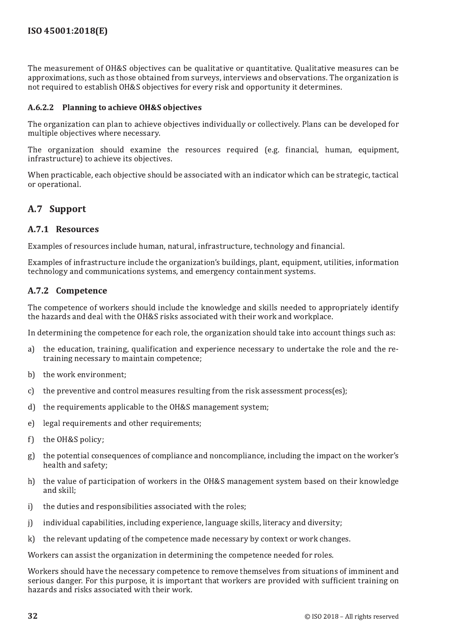The measurement of OH&S objectives can be qualitative or quantitative. Qualitative measures can be approximations, such as those obtained from surveys, interviews and observations. The organization is not required to establish OH&S objectives for every risk and opportunity it determines.

## A.6.2.2 Planning to achieve OH&S objectives

The organization can plan to achieve objectives individually or collectively. Plans can be developed for multiple objectives where necessary.

The organization should examine the resources required (e.g. financial, human, equipment, infras tructure) to achieve its objectives.

When practicable, each objective should be associated with an indicator which can be strategic, tactical or operational.

# A.7 Support

## .... .<del>.............</del>

Examples of resources include human, natural, infrastructure, technology and financial.

Examples of infrastructure include the organization's buildings, plant, equipment, utilities, information technology and communications systems, and emergency containment systems.

## A.7.2 Competence

The competence of workers should include the knowledge and skills needed to appropriately identify the hazards and deal with the OH&S risks associated with their work and workplace.

In determining the competence for each role, the organization should take into account things such as:

- a) the education, training, qualification and experience necessary to undertake the role and the retraining necessary to maintain competence;
- b) the work environment;
- c) the preventive and control measures resulting from the risk assessment process(es);
- d) the requirements applicable to the OH&S management system;
- e) legal requirements and other requirements;
- f) the OH&S policy;
- $g$ ) the potential consequences of compliance and noncompliance, including the impact on the worker's health and safety:
- h) the value of participation of workers in the OH&S management system based on their knowledge and skill:
- i) the duties and responsibilities associated with the roles;
- j) individual capabilities, including experience, language skills, literacy and diversity;
- $k$ ) the relevant updating of the competence made necessary by context or work changes.

Workers can assist the organization in determining the competence needed for roles.

Workers should have the necessary competence to remove themselves from situations of imminent and serious danger. For this purpose, it is important that workers are provided with sufficient training on hazards and risks associated with their work.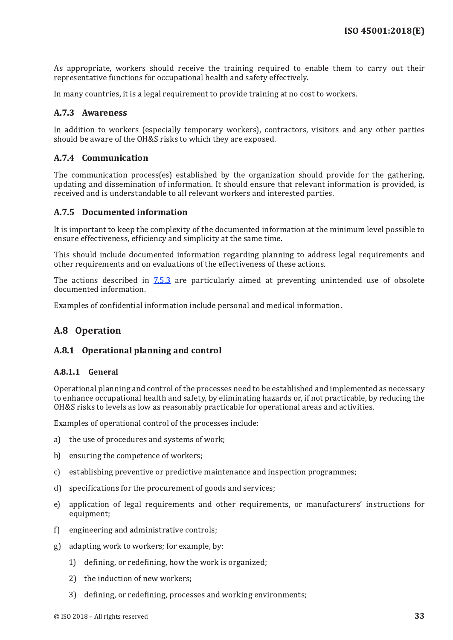As appropriate, workers should receive the training required to enable them to carry out their representative functions for occupational health and safety effectively.

In many countries, it is a legal requirement to provide training at no cost to workers.

## A.7 .3 Awareness

In addition to workers (especially temporary workers), contractors, visitors and any other parties should be aware of the OH&S risks to which they are exposed.

## A.7.4 Communication A.7 .4 Communication

The communication process(es) established by the organization should provide for the gathering, updating and dissemination of information. It should ensure that relevant information is provided, is received and is understandable to all relevant workers and interested parties.

## A.7 .5 Documented information

It is important to keep the complexity of the documented information at the minimum level possible to ensure effectiveness, efficiency and simplicity at the same time.

This should include documented information regarding planning to address legal requirements and other requirements and on evaluations of the effectiveness of these actions.

The actions described in  $7.5.3$  are particularly aimed at preventing unintended use of obsolete documented information.

Examples of confidential information include personal and medical information.

## A.8 Operation

## A.8 .1 Operational planning and control

## A.8.1.1 General

Operational planning and control of the processes need to be established and implemented as necessary to enhance occupational health and safety, by eliminating hazards or, if not practicable, by reducing the OH&S risks to levels as low as reasonably practicable for operational areas and activities.

Examples of operational control of the processes include:

- a) the use of procedures and systems of work;
- b) ensuring the competence of workers;
- c) establishing preventive or predictive maintenance and inspection programmes;
- d) specifications for the procurement of goods and services;
- e) application of legal requirements and other requirements, or manufacturers' instructions for equipment;
- $f$ ) engineering and administrative controls;
- $g$ ) adapting work to workers; for example, by:
	- 1) defining, or redefining, how the work is organized;
	- 2) the induction of new workers;
	- 3) defining, or redefining, processes and working environments;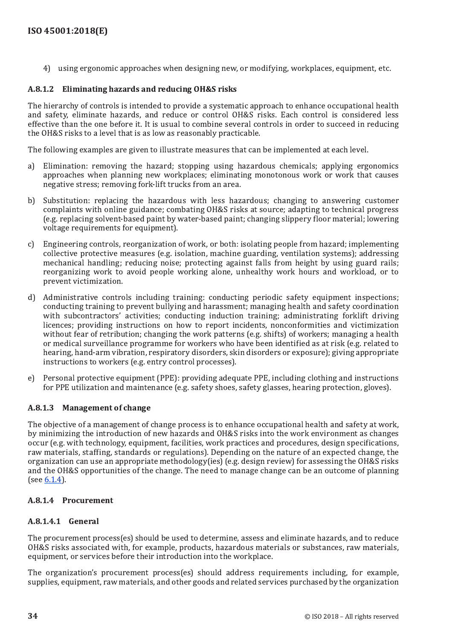4) using ergonomic approaches when designing new, or modifying, workplaces, equipment, etc.

## A.8 .1 .2 Eliminating hazards and reducing OH&S risks

The hierarchy of controls is intended to provide a systematic approach to enhance occupational health and safety, eliminate hazards, and reduce or control OH&S risks. Each control is considered less effective than the one before it. It is usual to combine several controls in order to succeed in reducing the OH&S risks to a level that is as low as reasonably practicable.

The following examples are given to illustrate measures that can be implemented at each level.

- Elimination: removing the hazard; stopping using hazardous chemicals; applying ergonomics approaches when planning new workplaces; eliminating monotonous work or work that causes negative stress; removing fork-lift trucks from an area.
- b) Substitution: replacing the hazardous with less hazardous; changing to answering customer complaints with online guidance; combating OH&S risks at source; adapting to technical progress (e.g. replacing solvent-based paint by water-based paint; changing slippery floor material; lowering voltage requirements for equipment).
- Engineering controls, reorganization of work, or both: iso lating people from hazard; imp lementing  $\mathcal{C}$ collective protective measures (e.g. isolation, machine guarding, ventilation systems); addressing mechanical handling; reducing noise; protecting against falls from height by using guard rails; reorganizing work to avoid people working alone, unhealthy work hours and workload, or to prevent victimization.
- d) Administrative controls including training: conducting periodic safety equipment inspections; conducting training to prevent bullying and harassment; managing health and safety coordination with subcontractors' activities; conducting induction training; administrating forklift driving licences; providing instructions on how to report incidents, nonconformities and victimization without fear of retribution; changing the work patterns (e.g. shifts) of workers; managing a health or medical surveillance programme for workers who have been identified as at risk (e.g. related to hearing, hand-arm vibration, respiratory disorders, skin disorders or exposure); giving appropriate instructions to workers (e.g. entry control processes).
- e) Personal protective equipment (PPE): providing adequate PPE, including clothing and instructions for PPE utilization and maintenance (e.g. safety shoes, safety glasses, hearing protection, gloves).

## A.8.1.3 Management of change

The objective of a management of change process is to enhance occupational health and safety at work, by minimizing the introduction of new hazards and OH&S risks into the work environment as changes occur (e.g. with technology, equipment, facilities, work practices and procedures, design specifications, raw materials, staffing, standards or regulations). Depending on the nature of an expected change, the organization can use an appropriate methodology(ies) (e.g. design review) for assessing the OH&S risks and the OH&S opportunities of the change. The need to manage change can be an outcome of planning (see  $6.1.4$ ).

## A.8.1.4 Procurement

## A.8.1.4.1 General

The procurement process(es) should be used to determine, assess and eliminate hazards, and to reduce OH&S risks associated with, for example, products, hazardous materials or substances, raw materials, equipment, or services before their introduction into the workplace.

The organization's procurement process(es) should address requirements including, for example, supplies, equipment, raw materials, and other goods and related services purchased by the organization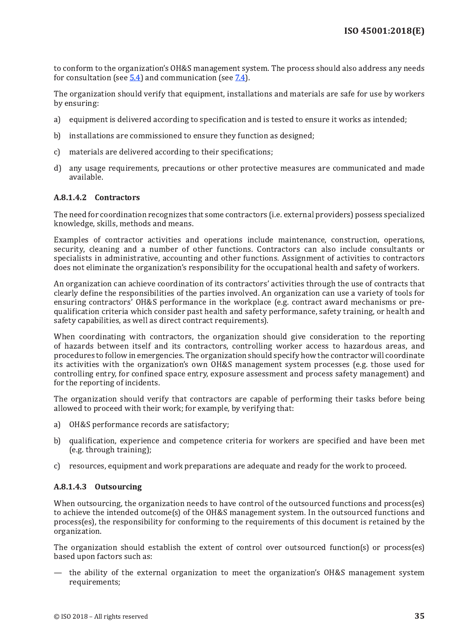to conform to the organization's OH&S management system. The process should also address any needs for consultation (see  $\frac{5.4}{2}$ ) and communication (see  $\frac{7.4}{2}$  $\frac{7.4}{2}$  $\frac{7.4}{2}$ ).

The organization should verify that equipment, installations and materials are safe for use by workers by ensuring:

- a) equipment is delivered according to specification and is tested to ensure it works as intended;
- b) installations are commissioned to ensure they function as designed;
- c) materials are delivered according to their specifications;
- d) any usage requirements, precautions or other protective measures are communicated and made available.

### A.8.1.4.2 Contractors A.8 .1 .4.2 Contractors

The need for coordination recognizes that some contractors (i.e. external providers) possess specialized knowledge, skills, methods and means.

Examples of contractor activities and operations include maintenance, construction, operations, security, cleaning and a number of other functions. Contractors can also include consultants or specialists in administrative, accounting and other functions. Assignment of activities to contractors does not eliminate the organization's responsibility for the occupational health and safety of workers.

An organization can achieve coordination of its contractors' activities through the use of contracts that clearly define the responsibilities of the parties involved. An organization can use a variety of tools for ensuring contractors' OH&S performance in the workplace (e.g. contract award mechanisms or prequalification criteria which consider past health and safety performance, safety training, or health and safety capabilities, as well as direct contract requirements).

When coordinating with contractors, the organization should give consideration to the reporting of hazards between itself and its contractors, controlling worker access to hazardous areas, and procedures to follow in emergencies. The organization should specify how the contractor will coordinate its activities with the organization's own OH&S management system processes (e.g. those used for controlling entry, for confined space entry, exposure assessment and process safety management) and for the reporting of incidents.

The organization should verify that contractors are capable of performing their tasks before being allowed to proceed with their work; for example, by verifying that:

- a) OH&S performance records are satisfactory;
- b) qualification, experience and competence criteria for workers are specified and have been met  $(e.g.$  through training);
- c) resources, equipment and work preparations are adequate and ready for the work to proceed.

## A.8.1.4.3 Outsourcing

When outsourcing, the organization needs to have control of the outsourced functions and process(es) to achieve the intended outcome(s) of the OH&S management system. In the outsourced functions and process(es), the responsibility for conforming to the requirements of this document is retained by the organization.

The organization should establish the extent of control over outsourced function(s) or process(es) based upon factors such as:

— the ability of the external organization to meet the organization's  $OH&S$  management system requirements;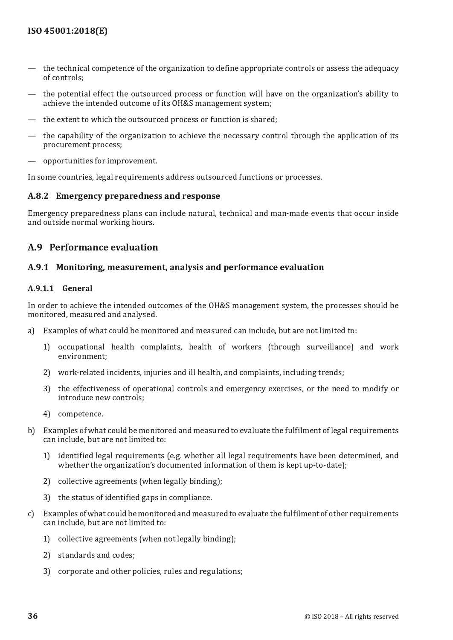- the technical competence of the organization to define appropriate controls or assess the adequacy of controls;
- the potential effect the outsourced process or function will have on the organization's ability to achieve the intended outcome of its OH&S management system;
- the extent to which the outsourced process or function is shared;
- the capability of the organization to achieve the necessary control through the application of its procurement process:
- opportunities for improvement.

In some countries, legal requirements address outsourced functions or processes.

## A.8 .2 Emergency preparedness and response

Emergency preparedness plans can include natural, technical and man-made events that occur inside and outside normal working hours.

## A.9 Performance evaluation A.9 Performance evaluation

## A.9 .1 Monitoring, measurement, analysis and performance evaluation

## A.9.1.1 General

In order to achieve the intended outcomes of the OH&S management system, the processes should be monitored, measured and analysed.

- a) Examples of what could be monitored and measured can include, but are not limited to:
	- 1) occupational health complaints, health of workers (through surveillance) and work environment;
	- 2) work-related incidents, injuries and ill health, and complaints, including trends;
	- 3) the effectiveness of operational controls and emergency exercises, or the need to modify or introduce new controls;
	- 4) competence.
- b) Examples of what could be monitored and measured to evaluate the fulfilment of legal requirements can include, but are not limited to:
	- 1) identified legal requirements (e.g. whether all legal requirements have been determined, and whether the organization's documented information of them is kept up-to-date):
	- 2) collective agreements (when legally binding);
	- 3) the status of identified gaps in compliance.
- Examples of what could be monitored and measured to evaluate the fulfilment of other requirements  $\mathcal{C}$ can include, but are not limited to:
	- 1) collective agreements (when not legally binding);
	- 2) standards and codes;
	- 3) corporate and other policies, rules and regulations;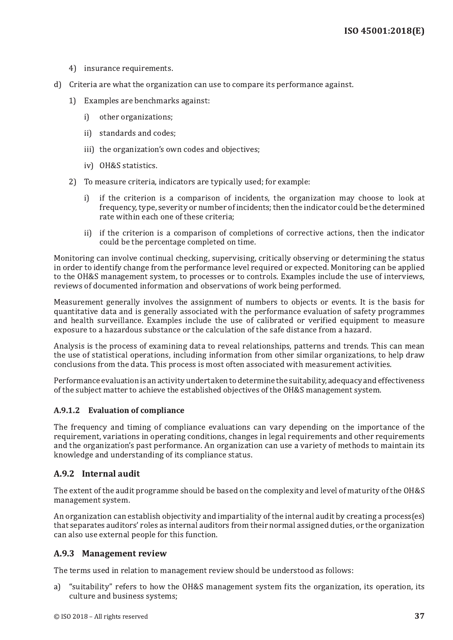- 4) insurance requirements.
- d) Criteria are what the organization can use to compare its performance against.
	- 1) Examples are benchmarks against:
		- i) other organizations;
		- ii) standards and codes;
		- iii) the organization's own codes and objectives;
		- iv) OH&S statistics.
	- 2) To measure criteria, indicators are typically used; for example:
		- if the criterion is a comparison of incidents, the organization may choose to look at frequency, type, severity or number of incidents; then the indicator could be the determined rate within each one of these criteria;
		- ii) if the criterion is a comparison of completions of corrective actions, then the indicator could be the percentage completed on time.

Monitoring can involve continual checking, supervising, critically observing or determining the status in order to identify change from the performance level required or expected. Monitoring can be applied to the OH&S management system, to processes or to controls. Examples include the use of interviews, reviews of documented information and observations of work being performed .

Measurement generally involves the assignment of numbers to objects or events. It is the basis for quantitative data and is generally associated with the performance evaluation of safety programmes and health surveillance. Examples include the use of calibrated or verified equipment to measure exposure to a hazardous substance or the calculation of the safe distance from a hazard.

Analysis is the process of examining data to reveal relationships, patterns and trends. This can mean the use of statistical operations, including information from other similar organizations, to help draw conclusions from the data. This process is most often associated with measurement activities.

Performance evaluation is an activity undertaken to determine the suitability, adequacy and effectiveness of the subject matter to achieve the established objectives of the OH&S management system.

## A.9.1.2 Evaluation of compliance

The frequency and timing of compliance evaluations can vary depending on the importance of the requirement, variations in operating conditions, changes in legal requirements and other requirements and the organization's past performance. An organization can use a variety of methods to maintain its knowledge and understanding of its compliance status.

## A.9.2 Internal audit

The extent of the audit programme should be based on the complexity and level of maturity of the OH&S management system.

An organization can establish objectivity and impartiality of the internal audit by creating a process(es) that separates auditors' roles as internal auditors from their normal assigned duties, or the organization can also use external people for this function.

## A.9 .3 Management review

The terms used in relation to management review should be understood as follows:

a) "suitability" refers to how the OH&S management system fits the organization, its operation, its culture and business systems;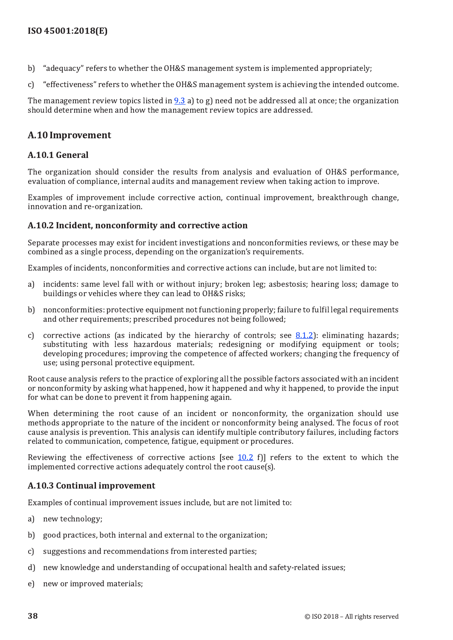- b) "adequacy" refers to whether the OH&S management system is implemented appropriately;
- c) "effectiveness" refers to whether the OH&S management system is achieving the intended outcome.

The management review topics listed in  $9.3$  a) to g) need not be addressed all at once; the organization should determine when and how the management review topics are addressed.

# A.10 Improvement

## A.10 .1 General

The organization should consider the results from analysis and evaluation of OH&S performance, evaluation of compliance, internal audits and management review when taking action to improve.

Examples of improvement include corrective action, continual improvement, breakthrough change, innovation and re-organization.

## A.10 .2 Incident, nonconformity and corrective action

Separate processes may exist for incident investigations and nonconformities reviews, or these may be combined as a single process, depending on the organization's requirements.

Examples of incidents, nonconformities and corrective actions can include, but are not limited to:

- incidents: same level fall with or without injury; broken leg; asbestosis; hearing loss; damage to a) buildings or vehicles where they can lead to OH&S risks;
- h) nonconformities: protective equipment not functioning properly; failure to fulfil legal requirements  $h$ and other requirements; prescribed procedures not being followed;
- c) corrective actions (as indicated by the hierarchy of controls; see 8.1.2): eliminating hazards; substituting with less hazardous materials; redesigning or modifying equipment or tools; developing procedures; improving the competence of affected workers; changing the frequency of use; using personal protective equipment.

Root cause analysis refers to the practice of exploring all the possible factors associated with an incident or nonconform ity by asking what happened , how it happened and why it happened , to provide the input for what can be done to prevent it from happening again.

When determining the root cause of an incident or nonconformity, the organization should use methods appropriate to the nature of the incident or nonconformity being analysed. The focus of root cause analysis is prevention. This analysis can identify multiple contributory failures, including factors related to communication, competence, fatigue, equipment or procedures.

Reviewing the effectiveness of corrective actions [see  $10.2$  f]] refers to the extent to which the implemented corrective actions adequately control the root cause(s).

# A.10 .3 Continual improvement

Examples of continual improvement issues include, but are not limited to:

- a) new technology;
- b) good practices, both internal and external to the organization;
- c) suggestions and recommendations from interested parties;
- d) new knowledge and understanding of occupational health and safety-related issues;
- e) new or improved materials;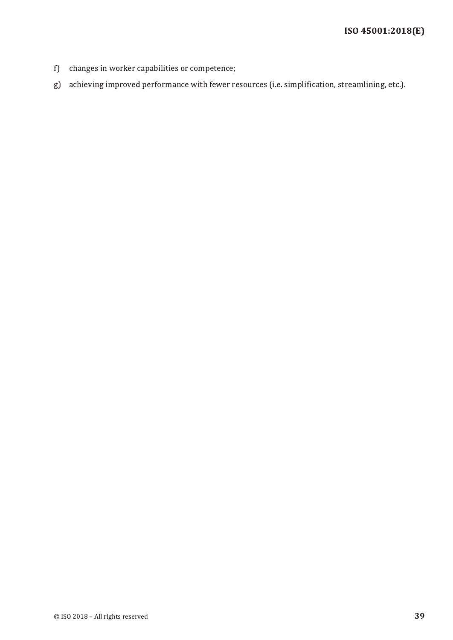- f) changes in worker capabilities or competence;
- g) achieving improved performance with fewer resources (i.e. simplification, streamlining, etc.).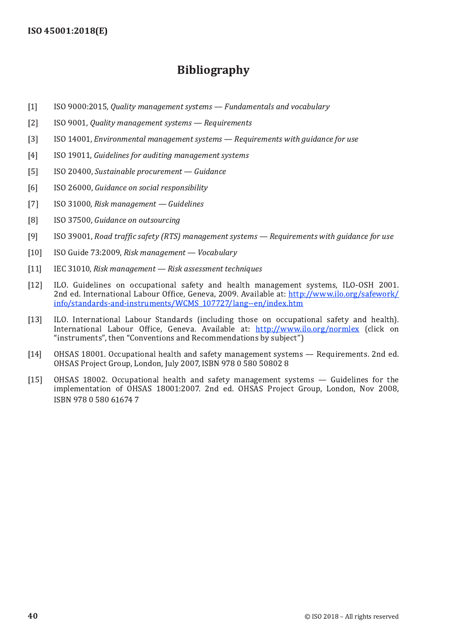# **Bibliography**

- <span id="page-49-0"></span>[1] ISO 9000:2015, Quality management systems - Fundamentals and vocabulary
- [2] ISO 9001, Quality management systems Requirements
- [3] ISO 14001, Environmental management systems Requirements with guidance for use
- [4] ISO 19011, Guidelines for auditing management systems
- [5] ISO 20400, Sustainable procurement Guidance
- [6] ISO 26000, Guidance on social responsibility
- [7] ISO 31000, Risk management Guidelines
- [8] ISO 37500, Guidance on outsourcing
- [9] ISO 39001, Road traffic safety (RTS) management systems Requirements with quidance for use
- [10] ISO Guide 73:2009, Risk management Vocabulary
- [11] IEC 31010, Risk management  $-$  Risk assessment techniques
- [12] ILO. Guidelines on occupational safety and health management systems, ILO-OSH 2001. 2nd ed. International Labour Office, Geneva, 2009. Available at: http://www.ilo.org/safework/ info/standards-and-instruments/WCMS 107727/lang--en/index.htm
- [13] ILO. International Labour Standards (including those on occupational safety and health). International Labour Office, Geneva. Available at: http://www.ilo.org/normlex (click on "instruments", then "Conventions and Recommendations by subject")
- [14] OHSAS 18001. Occupational health and safety management systems Requirements. 2nd ed. OHSAS Project Group, London, July 2007, ISBN 978 0 580 50802 8
- [15] OHSAS 18002. Occupational health and safety management systems Guidelines for the implementation of OHSAS 18001:2007. 2nd ed. OHSAS Project Group, London, Nov 2008, ISBN 9780580616747 . . . . . . . . . . . . . . .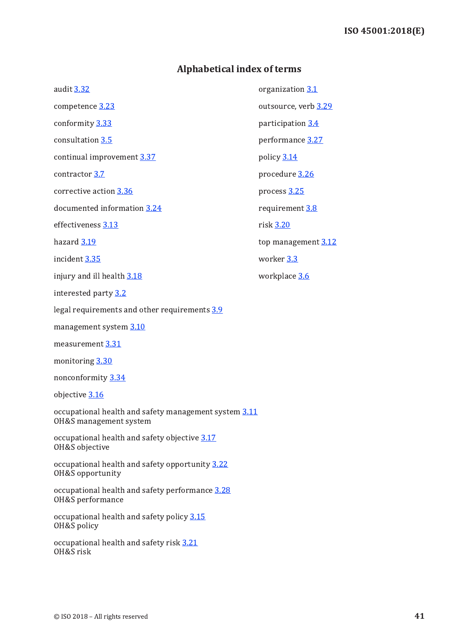## **Alphabetical index of terms**

audit 3.32

competence 3.23

conformity 3.33

consultation 3.5

continual improvement 3.37

contractor 3.7

corrective action 3.36

documented information 3.24

effectiveness 3.13

hazard 3.19

incident 3.35

injury and ill health 3.18

interested party 3.2

legal requirements and other requirements 3.9

management system 3.10

measurement 3.31

monitoring 3.30

nonconformity 3.34

objective 3.16

occupational health and safety management system 3.11 OH&S management system

occupational health and safety objective 3.17 OH&S objective

occupational health and safety opportunity 3.22 OH&S opportunity

occupational health and safety performance 3.28 OH&S performance

occupational health and safety policy 3.15 OH&S policy

occupational health and safety risk 3.21 OH&S risk

organization 3.1 outsource, verb 3.29 participation 3.4 performance 3.27 policy 3.14 procedure 3.26 process 3.25 requirement 3.8 risk 3.20 top management 3.12 worker 3.3

workplace 3.6

© ISO 2018 - All rights reserved